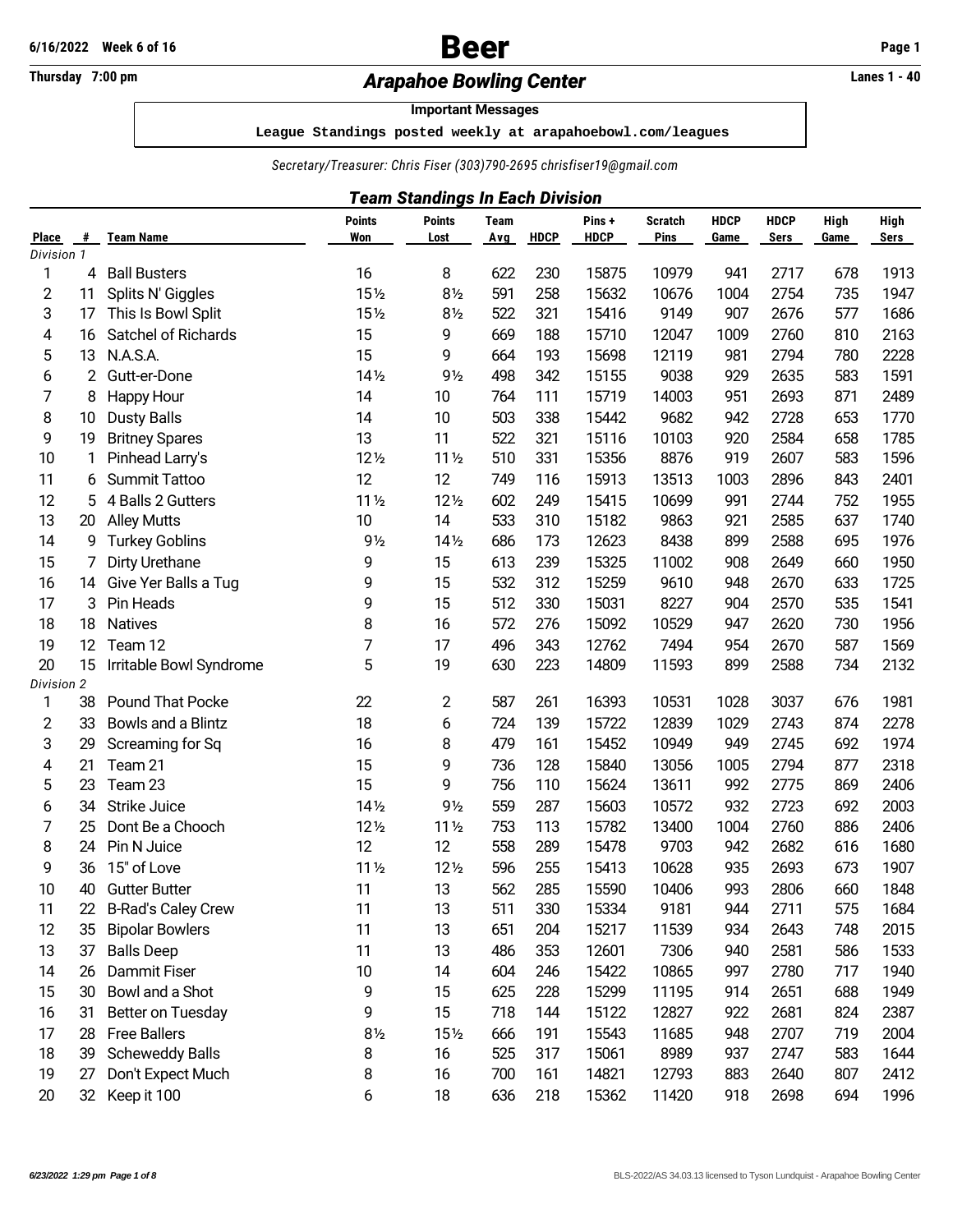# **Thursday 7:00 pm** *Arapahoe Bowling Center* **Lanes 1 - 40**

#### **Important Messages**

 **League Standings posted weekly at arapahoebowl.com/leagues**

*Secretary/Treasurer: Chris Fiser (303)790-2695 [chrisfiser19@gmail.com](mailto:chrisfiser19@gmail.com)*

| <b>HDCP</b><br><b>HDCP</b><br><b>High</b><br>High<br><b>Points</b><br><b>Points</b><br><b>Team</b><br>Pins +<br><b>Scratch</b><br><b>HDCP</b><br>Won<br><b>Pins</b><br>#<br><b>Team Name</b><br><b>HDCP</b><br><b>Sers</b><br><b>Place</b><br>Lost<br><b>Avg</b><br>Game<br>Game<br>Sers<br>Division 1<br>16<br>8<br>622<br>230<br>15875<br>10979<br>941<br>2717<br>1913<br>1<br><b>Ball Busters</b><br>678<br>4<br>$15\frac{1}{2}$<br>591<br>258<br>2754<br>$\overline{\mathbf{c}}$<br>Splits N' Giggles<br>$8\frac{1}{2}$<br>15632<br>1004<br>735<br>1947<br>11<br>10676<br>3<br>$15\frac{1}{2}$<br>321<br>9149<br>1686<br>This Is Bowl Split<br>$8\frac{1}{2}$<br>522<br>15416<br>907<br>2676<br>577<br>17<br>15<br>15710<br>2163<br>Satchel of Richards<br>9<br>669<br>188<br>12047<br>1009<br>2760<br>810<br>4<br>16<br>5<br>15<br>9<br>12119<br>2794<br>N.A.S.A.<br>664<br>193<br>15698<br>981<br>780<br>13<br>6<br>$9\frac{1}{2}$<br>498<br>342<br>15155<br>2635<br>583<br>Gutt-er-Done<br>14 <sub>2</sub><br>9038<br>929<br>2<br>7<br><b>Happy Hour</b><br>14<br>10<br>764<br>111<br>15719<br>14003<br>951<br>2693<br>871<br>8<br>8<br>503<br><b>Dusty Balls</b><br>14<br>10<br>338<br>15442<br>9682<br>942<br>2728<br>653<br>10<br>9<br>522<br>15116<br>10103<br><b>Britney Spares</b><br>13<br>11<br>321<br>920<br>2584<br>658<br>19<br>510<br>15356<br>8876<br>10<br>Pinhead Larry's<br>12 <sub>2</sub><br>11 <sub>2</sub><br>331<br>919<br>2607<br>583<br>1<br>12<br>12<br>11<br>Summit Tattoo<br>749<br>116<br>15913<br>13513<br>1003<br>2896<br>843<br>6<br>12<br>$12\frac{1}{2}$<br>4 Balls 2 Gutters<br>$11\frac{1}{2}$<br>602<br>249<br>15415<br>10699<br>991<br>2744<br>752<br>5<br>13<br>533<br>310<br>15182<br>9863<br>10<br>14<br>921<br>2585<br>637<br>20<br><b>Alley Mutts</b><br>14<br><b>Turkey Goblins</b><br>$9\frac{1}{2}$<br>$14\frac{1}{2}$<br>686<br>173<br>12623<br>8438<br>899<br>2588<br>695<br>9<br>15<br>15<br>613<br>239<br>15325<br>11002<br>Dirty Urethane<br>9<br>908<br>2649<br>660<br>7<br>15<br>532<br>312<br>15259<br>16<br>Give Yer Balls a Tug<br>9<br>9610<br>948<br>2670<br>633<br>14<br>17<br>9<br>512<br>15031<br>8227<br>Pin Heads<br>15<br>330<br>2570<br>535<br>3<br>904<br>18<br>8<br>572<br>276<br>15092<br>10529<br><b>Natives</b><br>16<br>947<br>2620<br>730<br>18<br>19<br>7<br>17<br>12762<br>587<br>Team 12<br>496<br>343<br>7494<br>954<br>2670<br>12<br>5<br>20<br>630<br>223<br>14809<br>2588<br>19<br>11593<br>899<br>734<br>15<br>Irritable Bowl Syndrome<br>Division 2<br>$\mathbf{2}$<br>587<br>16393<br><b>Pound That Pocke</b><br>22<br>261<br>10531<br>1028<br>3037<br>676<br>1<br>38<br>6<br>$\overline{c}$<br>Bowls and a Blintz<br>18<br>724<br>139<br>15722<br>12839<br>1029<br>2743<br>874<br>33<br>3<br>8<br>479<br>16<br>161<br>15452<br>10949<br>949<br>2745<br>692<br>29<br>Screaming for Sq<br>15<br>736<br>128<br>15840<br>13056<br>4<br>21<br>Team 21<br>9<br>1005<br>2794<br>877<br>5<br>15<br>9<br>2775<br>23<br>Team 23<br>756<br>110<br>15624<br>13611<br>992<br>869<br>559<br>287<br>932<br>2723<br>6<br>Strike Juice<br>14 <sub>2</sub><br>9 <sub>2</sub><br>15603<br>692<br>34<br>10572<br>7<br>Dont Be a Chooch<br>$12\frac{1}{2}$<br>$11\frac{1}{2}$<br>753<br>113<br>15782<br>1004<br>2760<br>886<br>25<br>13400<br>558<br>9703<br>8<br>Pin N Juice<br>12<br>12<br>289<br>15478<br>942<br>2682<br>616<br>24<br>9<br>15" of Love<br>11 <sub>2</sub><br>$12\frac{1}{2}$<br>596<br>255<br>15413<br>10628<br>935<br>2693<br>673<br>36<br>13<br>562<br>15590<br>993<br>10<br><b>Gutter Butter</b><br>11<br>285<br>10406<br>2806<br>660<br>40<br>11<br>11<br><b>B-Rad's Caley Crew</b><br>13<br>511<br>330<br>15334<br>9181<br>944<br>2711<br>22<br>575<br>11<br>12<br><b>Bipolar Bowlers</b><br>13<br>651<br>15217<br>934<br>2015<br>35<br>204<br>11539<br>2643<br>748<br>13<br>1533<br><b>Balls Deep</b><br>11<br>13<br>486<br>353<br>12601<br>7306<br>940<br>37<br>2581<br>586<br><b>Dammit Fiser</b><br>10<br>604<br>14<br>14<br>246<br>15422<br>10865<br>997<br>2780<br>717<br>1940<br>26<br>15<br>9<br>15<br>625<br>Bowl and a Shot<br>228<br>15299<br>11195<br>2651<br>688<br>1949<br>30<br>914<br>9<br>15<br>16<br>718<br>15122<br>922<br>2387<br>Better on Tuesday<br>144<br>12827<br>2681<br>824<br>31<br>$8\frac{1}{2}$<br>17<br><b>Free Ballers</b><br>$15\frac{1}{2}$<br>666<br>191<br>15543<br>11685<br>948<br>2707<br>719<br>2004<br>28<br>18<br>8<br>16<br>525<br>317<br>15061<br>937<br>1644<br><b>Scheweddy Balls</b><br>8989<br>2747<br>583<br>39<br>19<br>Don't Expect Much<br>8<br>16<br>700<br>161<br>14821<br>12793<br>883<br>807<br>2412<br>2640<br>27 |  |  | <b>Team Standings In Each Division</b> |  |  |  |      |
|-----------------------------------------------------------------------------------------------------------------------------------------------------------------------------------------------------------------------------------------------------------------------------------------------------------------------------------------------------------------------------------------------------------------------------------------------------------------------------------------------------------------------------------------------------------------------------------------------------------------------------------------------------------------------------------------------------------------------------------------------------------------------------------------------------------------------------------------------------------------------------------------------------------------------------------------------------------------------------------------------------------------------------------------------------------------------------------------------------------------------------------------------------------------------------------------------------------------------------------------------------------------------------------------------------------------------------------------------------------------------------------------------------------------------------------------------------------------------------------------------------------------------------------------------------------------------------------------------------------------------------------------------------------------------------------------------------------------------------------------------------------------------------------------------------------------------------------------------------------------------------------------------------------------------------------------------------------------------------------------------------------------------------------------------------------------------------------------------------------------------------------------------------------------------------------------------------------------------------------------------------------------------------------------------------------------------------------------------------------------------------------------------------------------------------------------------------------------------------------------------------------------------------------------------------------------------------------------------------------------------------------------------------------------------------------------------------------------------------------------------------------------------------------------------------------------------------------------------------------------------------------------------------------------------------------------------------------------------------------------------------------------------------------------------------------------------------------------------------------------------------------------------------------------------------------------------------------------------------------------------------------------------------------------------------------------------------------------------------------------------------------------------------------------------------------------------------------------------------------------------------------------------------------------------------------------------------------------------------------------------------------------------------------------------------------------------------------------------------------------------------------------------------------------------------------------------------------------------------------------------------------------------------------------------------------------------------------------------------------------------------------------------------------------------------------------------------------------------------------------------------------------------------------------------------------------------------------------------------------------------------------------------------------------------------------------------------------------------------------------------------------------------------------------------------------------------------------------------------------------------------------------------------------------------------------------------------------------------------------------------------------------------------------------------|--|--|----------------------------------------|--|--|--|------|
|                                                                                                                                                                                                                                                                                                                                                                                                                                                                                                                                                                                                                                                                                                                                                                                                                                                                                                                                                                                                                                                                                                                                                                                                                                                                                                                                                                                                                                                                                                                                                                                                                                                                                                                                                                                                                                                                                                                                                                                                                                                                                                                                                                                                                                                                                                                                                                                                                                                                                                                                                                                                                                                                                                                                                                                                                                                                                                                                                                                                                                                                                                                                                                                                                                                                                                                                                                                                                                                                                                                                                                                                                                                                                                                                                                                                                                                                                                                                                                                                                                                                                                                                                                                                                                                                                                                                                                                                                                                                                                                                                                                                                                                                       |  |  |                                        |  |  |  |      |
|                                                                                                                                                                                                                                                                                                                                                                                                                                                                                                                                                                                                                                                                                                                                                                                                                                                                                                                                                                                                                                                                                                                                                                                                                                                                                                                                                                                                                                                                                                                                                                                                                                                                                                                                                                                                                                                                                                                                                                                                                                                                                                                                                                                                                                                                                                                                                                                                                                                                                                                                                                                                                                                                                                                                                                                                                                                                                                                                                                                                                                                                                                                                                                                                                                                                                                                                                                                                                                                                                                                                                                                                                                                                                                                                                                                                                                                                                                                                                                                                                                                                                                                                                                                                                                                                                                                                                                                                                                                                                                                                                                                                                                                                       |  |  |                                        |  |  |  |      |
|                                                                                                                                                                                                                                                                                                                                                                                                                                                                                                                                                                                                                                                                                                                                                                                                                                                                                                                                                                                                                                                                                                                                                                                                                                                                                                                                                                                                                                                                                                                                                                                                                                                                                                                                                                                                                                                                                                                                                                                                                                                                                                                                                                                                                                                                                                                                                                                                                                                                                                                                                                                                                                                                                                                                                                                                                                                                                                                                                                                                                                                                                                                                                                                                                                                                                                                                                                                                                                                                                                                                                                                                                                                                                                                                                                                                                                                                                                                                                                                                                                                                                                                                                                                                                                                                                                                                                                                                                                                                                                                                                                                                                                                                       |  |  |                                        |  |  |  |      |
|                                                                                                                                                                                                                                                                                                                                                                                                                                                                                                                                                                                                                                                                                                                                                                                                                                                                                                                                                                                                                                                                                                                                                                                                                                                                                                                                                                                                                                                                                                                                                                                                                                                                                                                                                                                                                                                                                                                                                                                                                                                                                                                                                                                                                                                                                                                                                                                                                                                                                                                                                                                                                                                                                                                                                                                                                                                                                                                                                                                                                                                                                                                                                                                                                                                                                                                                                                                                                                                                                                                                                                                                                                                                                                                                                                                                                                                                                                                                                                                                                                                                                                                                                                                                                                                                                                                                                                                                                                                                                                                                                                                                                                                                       |  |  |                                        |  |  |  |      |
|                                                                                                                                                                                                                                                                                                                                                                                                                                                                                                                                                                                                                                                                                                                                                                                                                                                                                                                                                                                                                                                                                                                                                                                                                                                                                                                                                                                                                                                                                                                                                                                                                                                                                                                                                                                                                                                                                                                                                                                                                                                                                                                                                                                                                                                                                                                                                                                                                                                                                                                                                                                                                                                                                                                                                                                                                                                                                                                                                                                                                                                                                                                                                                                                                                                                                                                                                                                                                                                                                                                                                                                                                                                                                                                                                                                                                                                                                                                                                                                                                                                                                                                                                                                                                                                                                                                                                                                                                                                                                                                                                                                                                                                                       |  |  |                                        |  |  |  |      |
|                                                                                                                                                                                                                                                                                                                                                                                                                                                                                                                                                                                                                                                                                                                                                                                                                                                                                                                                                                                                                                                                                                                                                                                                                                                                                                                                                                                                                                                                                                                                                                                                                                                                                                                                                                                                                                                                                                                                                                                                                                                                                                                                                                                                                                                                                                                                                                                                                                                                                                                                                                                                                                                                                                                                                                                                                                                                                                                                                                                                                                                                                                                                                                                                                                                                                                                                                                                                                                                                                                                                                                                                                                                                                                                                                                                                                                                                                                                                                                                                                                                                                                                                                                                                                                                                                                                                                                                                                                                                                                                                                                                                                                                                       |  |  |                                        |  |  |  |      |
|                                                                                                                                                                                                                                                                                                                                                                                                                                                                                                                                                                                                                                                                                                                                                                                                                                                                                                                                                                                                                                                                                                                                                                                                                                                                                                                                                                                                                                                                                                                                                                                                                                                                                                                                                                                                                                                                                                                                                                                                                                                                                                                                                                                                                                                                                                                                                                                                                                                                                                                                                                                                                                                                                                                                                                                                                                                                                                                                                                                                                                                                                                                                                                                                                                                                                                                                                                                                                                                                                                                                                                                                                                                                                                                                                                                                                                                                                                                                                                                                                                                                                                                                                                                                                                                                                                                                                                                                                                                                                                                                                                                                                                                                       |  |  |                                        |  |  |  | 2228 |
|                                                                                                                                                                                                                                                                                                                                                                                                                                                                                                                                                                                                                                                                                                                                                                                                                                                                                                                                                                                                                                                                                                                                                                                                                                                                                                                                                                                                                                                                                                                                                                                                                                                                                                                                                                                                                                                                                                                                                                                                                                                                                                                                                                                                                                                                                                                                                                                                                                                                                                                                                                                                                                                                                                                                                                                                                                                                                                                                                                                                                                                                                                                                                                                                                                                                                                                                                                                                                                                                                                                                                                                                                                                                                                                                                                                                                                                                                                                                                                                                                                                                                                                                                                                                                                                                                                                                                                                                                                                                                                                                                                                                                                                                       |  |  |                                        |  |  |  | 1591 |
|                                                                                                                                                                                                                                                                                                                                                                                                                                                                                                                                                                                                                                                                                                                                                                                                                                                                                                                                                                                                                                                                                                                                                                                                                                                                                                                                                                                                                                                                                                                                                                                                                                                                                                                                                                                                                                                                                                                                                                                                                                                                                                                                                                                                                                                                                                                                                                                                                                                                                                                                                                                                                                                                                                                                                                                                                                                                                                                                                                                                                                                                                                                                                                                                                                                                                                                                                                                                                                                                                                                                                                                                                                                                                                                                                                                                                                                                                                                                                                                                                                                                                                                                                                                                                                                                                                                                                                                                                                                                                                                                                                                                                                                                       |  |  |                                        |  |  |  | 2489 |
|                                                                                                                                                                                                                                                                                                                                                                                                                                                                                                                                                                                                                                                                                                                                                                                                                                                                                                                                                                                                                                                                                                                                                                                                                                                                                                                                                                                                                                                                                                                                                                                                                                                                                                                                                                                                                                                                                                                                                                                                                                                                                                                                                                                                                                                                                                                                                                                                                                                                                                                                                                                                                                                                                                                                                                                                                                                                                                                                                                                                                                                                                                                                                                                                                                                                                                                                                                                                                                                                                                                                                                                                                                                                                                                                                                                                                                                                                                                                                                                                                                                                                                                                                                                                                                                                                                                                                                                                                                                                                                                                                                                                                                                                       |  |  |                                        |  |  |  | 1770 |
|                                                                                                                                                                                                                                                                                                                                                                                                                                                                                                                                                                                                                                                                                                                                                                                                                                                                                                                                                                                                                                                                                                                                                                                                                                                                                                                                                                                                                                                                                                                                                                                                                                                                                                                                                                                                                                                                                                                                                                                                                                                                                                                                                                                                                                                                                                                                                                                                                                                                                                                                                                                                                                                                                                                                                                                                                                                                                                                                                                                                                                                                                                                                                                                                                                                                                                                                                                                                                                                                                                                                                                                                                                                                                                                                                                                                                                                                                                                                                                                                                                                                                                                                                                                                                                                                                                                                                                                                                                                                                                                                                                                                                                                                       |  |  |                                        |  |  |  | 1785 |
|                                                                                                                                                                                                                                                                                                                                                                                                                                                                                                                                                                                                                                                                                                                                                                                                                                                                                                                                                                                                                                                                                                                                                                                                                                                                                                                                                                                                                                                                                                                                                                                                                                                                                                                                                                                                                                                                                                                                                                                                                                                                                                                                                                                                                                                                                                                                                                                                                                                                                                                                                                                                                                                                                                                                                                                                                                                                                                                                                                                                                                                                                                                                                                                                                                                                                                                                                                                                                                                                                                                                                                                                                                                                                                                                                                                                                                                                                                                                                                                                                                                                                                                                                                                                                                                                                                                                                                                                                                                                                                                                                                                                                                                                       |  |  |                                        |  |  |  | 1596 |
|                                                                                                                                                                                                                                                                                                                                                                                                                                                                                                                                                                                                                                                                                                                                                                                                                                                                                                                                                                                                                                                                                                                                                                                                                                                                                                                                                                                                                                                                                                                                                                                                                                                                                                                                                                                                                                                                                                                                                                                                                                                                                                                                                                                                                                                                                                                                                                                                                                                                                                                                                                                                                                                                                                                                                                                                                                                                                                                                                                                                                                                                                                                                                                                                                                                                                                                                                                                                                                                                                                                                                                                                                                                                                                                                                                                                                                                                                                                                                                                                                                                                                                                                                                                                                                                                                                                                                                                                                                                                                                                                                                                                                                                                       |  |  |                                        |  |  |  | 2401 |
|                                                                                                                                                                                                                                                                                                                                                                                                                                                                                                                                                                                                                                                                                                                                                                                                                                                                                                                                                                                                                                                                                                                                                                                                                                                                                                                                                                                                                                                                                                                                                                                                                                                                                                                                                                                                                                                                                                                                                                                                                                                                                                                                                                                                                                                                                                                                                                                                                                                                                                                                                                                                                                                                                                                                                                                                                                                                                                                                                                                                                                                                                                                                                                                                                                                                                                                                                                                                                                                                                                                                                                                                                                                                                                                                                                                                                                                                                                                                                                                                                                                                                                                                                                                                                                                                                                                                                                                                                                                                                                                                                                                                                                                                       |  |  |                                        |  |  |  | 1955 |
|                                                                                                                                                                                                                                                                                                                                                                                                                                                                                                                                                                                                                                                                                                                                                                                                                                                                                                                                                                                                                                                                                                                                                                                                                                                                                                                                                                                                                                                                                                                                                                                                                                                                                                                                                                                                                                                                                                                                                                                                                                                                                                                                                                                                                                                                                                                                                                                                                                                                                                                                                                                                                                                                                                                                                                                                                                                                                                                                                                                                                                                                                                                                                                                                                                                                                                                                                                                                                                                                                                                                                                                                                                                                                                                                                                                                                                                                                                                                                                                                                                                                                                                                                                                                                                                                                                                                                                                                                                                                                                                                                                                                                                                                       |  |  |                                        |  |  |  | 1740 |
|                                                                                                                                                                                                                                                                                                                                                                                                                                                                                                                                                                                                                                                                                                                                                                                                                                                                                                                                                                                                                                                                                                                                                                                                                                                                                                                                                                                                                                                                                                                                                                                                                                                                                                                                                                                                                                                                                                                                                                                                                                                                                                                                                                                                                                                                                                                                                                                                                                                                                                                                                                                                                                                                                                                                                                                                                                                                                                                                                                                                                                                                                                                                                                                                                                                                                                                                                                                                                                                                                                                                                                                                                                                                                                                                                                                                                                                                                                                                                                                                                                                                                                                                                                                                                                                                                                                                                                                                                                                                                                                                                                                                                                                                       |  |  |                                        |  |  |  | 1976 |
|                                                                                                                                                                                                                                                                                                                                                                                                                                                                                                                                                                                                                                                                                                                                                                                                                                                                                                                                                                                                                                                                                                                                                                                                                                                                                                                                                                                                                                                                                                                                                                                                                                                                                                                                                                                                                                                                                                                                                                                                                                                                                                                                                                                                                                                                                                                                                                                                                                                                                                                                                                                                                                                                                                                                                                                                                                                                                                                                                                                                                                                                                                                                                                                                                                                                                                                                                                                                                                                                                                                                                                                                                                                                                                                                                                                                                                                                                                                                                                                                                                                                                                                                                                                                                                                                                                                                                                                                                                                                                                                                                                                                                                                                       |  |  |                                        |  |  |  | 1950 |
|                                                                                                                                                                                                                                                                                                                                                                                                                                                                                                                                                                                                                                                                                                                                                                                                                                                                                                                                                                                                                                                                                                                                                                                                                                                                                                                                                                                                                                                                                                                                                                                                                                                                                                                                                                                                                                                                                                                                                                                                                                                                                                                                                                                                                                                                                                                                                                                                                                                                                                                                                                                                                                                                                                                                                                                                                                                                                                                                                                                                                                                                                                                                                                                                                                                                                                                                                                                                                                                                                                                                                                                                                                                                                                                                                                                                                                                                                                                                                                                                                                                                                                                                                                                                                                                                                                                                                                                                                                                                                                                                                                                                                                                                       |  |  |                                        |  |  |  | 1725 |
|                                                                                                                                                                                                                                                                                                                                                                                                                                                                                                                                                                                                                                                                                                                                                                                                                                                                                                                                                                                                                                                                                                                                                                                                                                                                                                                                                                                                                                                                                                                                                                                                                                                                                                                                                                                                                                                                                                                                                                                                                                                                                                                                                                                                                                                                                                                                                                                                                                                                                                                                                                                                                                                                                                                                                                                                                                                                                                                                                                                                                                                                                                                                                                                                                                                                                                                                                                                                                                                                                                                                                                                                                                                                                                                                                                                                                                                                                                                                                                                                                                                                                                                                                                                                                                                                                                                                                                                                                                                                                                                                                                                                                                                                       |  |  |                                        |  |  |  | 1541 |
|                                                                                                                                                                                                                                                                                                                                                                                                                                                                                                                                                                                                                                                                                                                                                                                                                                                                                                                                                                                                                                                                                                                                                                                                                                                                                                                                                                                                                                                                                                                                                                                                                                                                                                                                                                                                                                                                                                                                                                                                                                                                                                                                                                                                                                                                                                                                                                                                                                                                                                                                                                                                                                                                                                                                                                                                                                                                                                                                                                                                                                                                                                                                                                                                                                                                                                                                                                                                                                                                                                                                                                                                                                                                                                                                                                                                                                                                                                                                                                                                                                                                                                                                                                                                                                                                                                                                                                                                                                                                                                                                                                                                                                                                       |  |  |                                        |  |  |  | 1956 |
|                                                                                                                                                                                                                                                                                                                                                                                                                                                                                                                                                                                                                                                                                                                                                                                                                                                                                                                                                                                                                                                                                                                                                                                                                                                                                                                                                                                                                                                                                                                                                                                                                                                                                                                                                                                                                                                                                                                                                                                                                                                                                                                                                                                                                                                                                                                                                                                                                                                                                                                                                                                                                                                                                                                                                                                                                                                                                                                                                                                                                                                                                                                                                                                                                                                                                                                                                                                                                                                                                                                                                                                                                                                                                                                                                                                                                                                                                                                                                                                                                                                                                                                                                                                                                                                                                                                                                                                                                                                                                                                                                                                                                                                                       |  |  |                                        |  |  |  | 1569 |
|                                                                                                                                                                                                                                                                                                                                                                                                                                                                                                                                                                                                                                                                                                                                                                                                                                                                                                                                                                                                                                                                                                                                                                                                                                                                                                                                                                                                                                                                                                                                                                                                                                                                                                                                                                                                                                                                                                                                                                                                                                                                                                                                                                                                                                                                                                                                                                                                                                                                                                                                                                                                                                                                                                                                                                                                                                                                                                                                                                                                                                                                                                                                                                                                                                                                                                                                                                                                                                                                                                                                                                                                                                                                                                                                                                                                                                                                                                                                                                                                                                                                                                                                                                                                                                                                                                                                                                                                                                                                                                                                                                                                                                                                       |  |  |                                        |  |  |  | 2132 |
|                                                                                                                                                                                                                                                                                                                                                                                                                                                                                                                                                                                                                                                                                                                                                                                                                                                                                                                                                                                                                                                                                                                                                                                                                                                                                                                                                                                                                                                                                                                                                                                                                                                                                                                                                                                                                                                                                                                                                                                                                                                                                                                                                                                                                                                                                                                                                                                                                                                                                                                                                                                                                                                                                                                                                                                                                                                                                                                                                                                                                                                                                                                                                                                                                                                                                                                                                                                                                                                                                                                                                                                                                                                                                                                                                                                                                                                                                                                                                                                                                                                                                                                                                                                                                                                                                                                                                                                                                                                                                                                                                                                                                                                                       |  |  |                                        |  |  |  |      |
|                                                                                                                                                                                                                                                                                                                                                                                                                                                                                                                                                                                                                                                                                                                                                                                                                                                                                                                                                                                                                                                                                                                                                                                                                                                                                                                                                                                                                                                                                                                                                                                                                                                                                                                                                                                                                                                                                                                                                                                                                                                                                                                                                                                                                                                                                                                                                                                                                                                                                                                                                                                                                                                                                                                                                                                                                                                                                                                                                                                                                                                                                                                                                                                                                                                                                                                                                                                                                                                                                                                                                                                                                                                                                                                                                                                                                                                                                                                                                                                                                                                                                                                                                                                                                                                                                                                                                                                                                                                                                                                                                                                                                                                                       |  |  |                                        |  |  |  | 1981 |
|                                                                                                                                                                                                                                                                                                                                                                                                                                                                                                                                                                                                                                                                                                                                                                                                                                                                                                                                                                                                                                                                                                                                                                                                                                                                                                                                                                                                                                                                                                                                                                                                                                                                                                                                                                                                                                                                                                                                                                                                                                                                                                                                                                                                                                                                                                                                                                                                                                                                                                                                                                                                                                                                                                                                                                                                                                                                                                                                                                                                                                                                                                                                                                                                                                                                                                                                                                                                                                                                                                                                                                                                                                                                                                                                                                                                                                                                                                                                                                                                                                                                                                                                                                                                                                                                                                                                                                                                                                                                                                                                                                                                                                                                       |  |  |                                        |  |  |  | 2278 |
|                                                                                                                                                                                                                                                                                                                                                                                                                                                                                                                                                                                                                                                                                                                                                                                                                                                                                                                                                                                                                                                                                                                                                                                                                                                                                                                                                                                                                                                                                                                                                                                                                                                                                                                                                                                                                                                                                                                                                                                                                                                                                                                                                                                                                                                                                                                                                                                                                                                                                                                                                                                                                                                                                                                                                                                                                                                                                                                                                                                                                                                                                                                                                                                                                                                                                                                                                                                                                                                                                                                                                                                                                                                                                                                                                                                                                                                                                                                                                                                                                                                                                                                                                                                                                                                                                                                                                                                                                                                                                                                                                                                                                                                                       |  |  |                                        |  |  |  | 1974 |
|                                                                                                                                                                                                                                                                                                                                                                                                                                                                                                                                                                                                                                                                                                                                                                                                                                                                                                                                                                                                                                                                                                                                                                                                                                                                                                                                                                                                                                                                                                                                                                                                                                                                                                                                                                                                                                                                                                                                                                                                                                                                                                                                                                                                                                                                                                                                                                                                                                                                                                                                                                                                                                                                                                                                                                                                                                                                                                                                                                                                                                                                                                                                                                                                                                                                                                                                                                                                                                                                                                                                                                                                                                                                                                                                                                                                                                                                                                                                                                                                                                                                                                                                                                                                                                                                                                                                                                                                                                                                                                                                                                                                                                                                       |  |  |                                        |  |  |  | 2318 |
|                                                                                                                                                                                                                                                                                                                                                                                                                                                                                                                                                                                                                                                                                                                                                                                                                                                                                                                                                                                                                                                                                                                                                                                                                                                                                                                                                                                                                                                                                                                                                                                                                                                                                                                                                                                                                                                                                                                                                                                                                                                                                                                                                                                                                                                                                                                                                                                                                                                                                                                                                                                                                                                                                                                                                                                                                                                                                                                                                                                                                                                                                                                                                                                                                                                                                                                                                                                                                                                                                                                                                                                                                                                                                                                                                                                                                                                                                                                                                                                                                                                                                                                                                                                                                                                                                                                                                                                                                                                                                                                                                                                                                                                                       |  |  |                                        |  |  |  | 2406 |
|                                                                                                                                                                                                                                                                                                                                                                                                                                                                                                                                                                                                                                                                                                                                                                                                                                                                                                                                                                                                                                                                                                                                                                                                                                                                                                                                                                                                                                                                                                                                                                                                                                                                                                                                                                                                                                                                                                                                                                                                                                                                                                                                                                                                                                                                                                                                                                                                                                                                                                                                                                                                                                                                                                                                                                                                                                                                                                                                                                                                                                                                                                                                                                                                                                                                                                                                                                                                                                                                                                                                                                                                                                                                                                                                                                                                                                                                                                                                                                                                                                                                                                                                                                                                                                                                                                                                                                                                                                                                                                                                                                                                                                                                       |  |  |                                        |  |  |  | 2003 |
|                                                                                                                                                                                                                                                                                                                                                                                                                                                                                                                                                                                                                                                                                                                                                                                                                                                                                                                                                                                                                                                                                                                                                                                                                                                                                                                                                                                                                                                                                                                                                                                                                                                                                                                                                                                                                                                                                                                                                                                                                                                                                                                                                                                                                                                                                                                                                                                                                                                                                                                                                                                                                                                                                                                                                                                                                                                                                                                                                                                                                                                                                                                                                                                                                                                                                                                                                                                                                                                                                                                                                                                                                                                                                                                                                                                                                                                                                                                                                                                                                                                                                                                                                                                                                                                                                                                                                                                                                                                                                                                                                                                                                                                                       |  |  |                                        |  |  |  | 2406 |
|                                                                                                                                                                                                                                                                                                                                                                                                                                                                                                                                                                                                                                                                                                                                                                                                                                                                                                                                                                                                                                                                                                                                                                                                                                                                                                                                                                                                                                                                                                                                                                                                                                                                                                                                                                                                                                                                                                                                                                                                                                                                                                                                                                                                                                                                                                                                                                                                                                                                                                                                                                                                                                                                                                                                                                                                                                                                                                                                                                                                                                                                                                                                                                                                                                                                                                                                                                                                                                                                                                                                                                                                                                                                                                                                                                                                                                                                                                                                                                                                                                                                                                                                                                                                                                                                                                                                                                                                                                                                                                                                                                                                                                                                       |  |  |                                        |  |  |  | 1680 |
|                                                                                                                                                                                                                                                                                                                                                                                                                                                                                                                                                                                                                                                                                                                                                                                                                                                                                                                                                                                                                                                                                                                                                                                                                                                                                                                                                                                                                                                                                                                                                                                                                                                                                                                                                                                                                                                                                                                                                                                                                                                                                                                                                                                                                                                                                                                                                                                                                                                                                                                                                                                                                                                                                                                                                                                                                                                                                                                                                                                                                                                                                                                                                                                                                                                                                                                                                                                                                                                                                                                                                                                                                                                                                                                                                                                                                                                                                                                                                                                                                                                                                                                                                                                                                                                                                                                                                                                                                                                                                                                                                                                                                                                                       |  |  |                                        |  |  |  | 1907 |
|                                                                                                                                                                                                                                                                                                                                                                                                                                                                                                                                                                                                                                                                                                                                                                                                                                                                                                                                                                                                                                                                                                                                                                                                                                                                                                                                                                                                                                                                                                                                                                                                                                                                                                                                                                                                                                                                                                                                                                                                                                                                                                                                                                                                                                                                                                                                                                                                                                                                                                                                                                                                                                                                                                                                                                                                                                                                                                                                                                                                                                                                                                                                                                                                                                                                                                                                                                                                                                                                                                                                                                                                                                                                                                                                                                                                                                                                                                                                                                                                                                                                                                                                                                                                                                                                                                                                                                                                                                                                                                                                                                                                                                                                       |  |  |                                        |  |  |  | 1848 |
|                                                                                                                                                                                                                                                                                                                                                                                                                                                                                                                                                                                                                                                                                                                                                                                                                                                                                                                                                                                                                                                                                                                                                                                                                                                                                                                                                                                                                                                                                                                                                                                                                                                                                                                                                                                                                                                                                                                                                                                                                                                                                                                                                                                                                                                                                                                                                                                                                                                                                                                                                                                                                                                                                                                                                                                                                                                                                                                                                                                                                                                                                                                                                                                                                                                                                                                                                                                                                                                                                                                                                                                                                                                                                                                                                                                                                                                                                                                                                                                                                                                                                                                                                                                                                                                                                                                                                                                                                                                                                                                                                                                                                                                                       |  |  |                                        |  |  |  | 1684 |
|                                                                                                                                                                                                                                                                                                                                                                                                                                                                                                                                                                                                                                                                                                                                                                                                                                                                                                                                                                                                                                                                                                                                                                                                                                                                                                                                                                                                                                                                                                                                                                                                                                                                                                                                                                                                                                                                                                                                                                                                                                                                                                                                                                                                                                                                                                                                                                                                                                                                                                                                                                                                                                                                                                                                                                                                                                                                                                                                                                                                                                                                                                                                                                                                                                                                                                                                                                                                                                                                                                                                                                                                                                                                                                                                                                                                                                                                                                                                                                                                                                                                                                                                                                                                                                                                                                                                                                                                                                                                                                                                                                                                                                                                       |  |  |                                        |  |  |  |      |
|                                                                                                                                                                                                                                                                                                                                                                                                                                                                                                                                                                                                                                                                                                                                                                                                                                                                                                                                                                                                                                                                                                                                                                                                                                                                                                                                                                                                                                                                                                                                                                                                                                                                                                                                                                                                                                                                                                                                                                                                                                                                                                                                                                                                                                                                                                                                                                                                                                                                                                                                                                                                                                                                                                                                                                                                                                                                                                                                                                                                                                                                                                                                                                                                                                                                                                                                                                                                                                                                                                                                                                                                                                                                                                                                                                                                                                                                                                                                                                                                                                                                                                                                                                                                                                                                                                                                                                                                                                                                                                                                                                                                                                                                       |  |  |                                        |  |  |  |      |
|                                                                                                                                                                                                                                                                                                                                                                                                                                                                                                                                                                                                                                                                                                                                                                                                                                                                                                                                                                                                                                                                                                                                                                                                                                                                                                                                                                                                                                                                                                                                                                                                                                                                                                                                                                                                                                                                                                                                                                                                                                                                                                                                                                                                                                                                                                                                                                                                                                                                                                                                                                                                                                                                                                                                                                                                                                                                                                                                                                                                                                                                                                                                                                                                                                                                                                                                                                                                                                                                                                                                                                                                                                                                                                                                                                                                                                                                                                                                                                                                                                                                                                                                                                                                                                                                                                                                                                                                                                                                                                                                                                                                                                                                       |  |  |                                        |  |  |  |      |
|                                                                                                                                                                                                                                                                                                                                                                                                                                                                                                                                                                                                                                                                                                                                                                                                                                                                                                                                                                                                                                                                                                                                                                                                                                                                                                                                                                                                                                                                                                                                                                                                                                                                                                                                                                                                                                                                                                                                                                                                                                                                                                                                                                                                                                                                                                                                                                                                                                                                                                                                                                                                                                                                                                                                                                                                                                                                                                                                                                                                                                                                                                                                                                                                                                                                                                                                                                                                                                                                                                                                                                                                                                                                                                                                                                                                                                                                                                                                                                                                                                                                                                                                                                                                                                                                                                                                                                                                                                                                                                                                                                                                                                                                       |  |  |                                        |  |  |  |      |
|                                                                                                                                                                                                                                                                                                                                                                                                                                                                                                                                                                                                                                                                                                                                                                                                                                                                                                                                                                                                                                                                                                                                                                                                                                                                                                                                                                                                                                                                                                                                                                                                                                                                                                                                                                                                                                                                                                                                                                                                                                                                                                                                                                                                                                                                                                                                                                                                                                                                                                                                                                                                                                                                                                                                                                                                                                                                                                                                                                                                                                                                                                                                                                                                                                                                                                                                                                                                                                                                                                                                                                                                                                                                                                                                                                                                                                                                                                                                                                                                                                                                                                                                                                                                                                                                                                                                                                                                                                                                                                                                                                                                                                                                       |  |  |                                        |  |  |  |      |
|                                                                                                                                                                                                                                                                                                                                                                                                                                                                                                                                                                                                                                                                                                                                                                                                                                                                                                                                                                                                                                                                                                                                                                                                                                                                                                                                                                                                                                                                                                                                                                                                                                                                                                                                                                                                                                                                                                                                                                                                                                                                                                                                                                                                                                                                                                                                                                                                                                                                                                                                                                                                                                                                                                                                                                                                                                                                                                                                                                                                                                                                                                                                                                                                                                                                                                                                                                                                                                                                                                                                                                                                                                                                                                                                                                                                                                                                                                                                                                                                                                                                                                                                                                                                                                                                                                                                                                                                                                                                                                                                                                                                                                                                       |  |  |                                        |  |  |  |      |
|                                                                                                                                                                                                                                                                                                                                                                                                                                                                                                                                                                                                                                                                                                                                                                                                                                                                                                                                                                                                                                                                                                                                                                                                                                                                                                                                                                                                                                                                                                                                                                                                                                                                                                                                                                                                                                                                                                                                                                                                                                                                                                                                                                                                                                                                                                                                                                                                                                                                                                                                                                                                                                                                                                                                                                                                                                                                                                                                                                                                                                                                                                                                                                                                                                                                                                                                                                                                                                                                                                                                                                                                                                                                                                                                                                                                                                                                                                                                                                                                                                                                                                                                                                                                                                                                                                                                                                                                                                                                                                                                                                                                                                                                       |  |  |                                        |  |  |  |      |
|                                                                                                                                                                                                                                                                                                                                                                                                                                                                                                                                                                                                                                                                                                                                                                                                                                                                                                                                                                                                                                                                                                                                                                                                                                                                                                                                                                                                                                                                                                                                                                                                                                                                                                                                                                                                                                                                                                                                                                                                                                                                                                                                                                                                                                                                                                                                                                                                                                                                                                                                                                                                                                                                                                                                                                                                                                                                                                                                                                                                                                                                                                                                                                                                                                                                                                                                                                                                                                                                                                                                                                                                                                                                                                                                                                                                                                                                                                                                                                                                                                                                                                                                                                                                                                                                                                                                                                                                                                                                                                                                                                                                                                                                       |  |  |                                        |  |  |  |      |
| 20<br>Keep it 100<br>6<br>18<br>636<br>218<br>15362<br>11420<br>918<br>2698<br>694<br>32 <sub>2</sub>                                                                                                                                                                                                                                                                                                                                                                                                                                                                                                                                                                                                                                                                                                                                                                                                                                                                                                                                                                                                                                                                                                                                                                                                                                                                                                                                                                                                                                                                                                                                                                                                                                                                                                                                                                                                                                                                                                                                                                                                                                                                                                                                                                                                                                                                                                                                                                                                                                                                                                                                                                                                                                                                                                                                                                                                                                                                                                                                                                                                                                                                                                                                                                                                                                                                                                                                                                                                                                                                                                                                                                                                                                                                                                                                                                                                                                                                                                                                                                                                                                                                                                                                                                                                                                                                                                                                                                                                                                                                                                                                                                 |  |  |                                        |  |  |  | 1996 |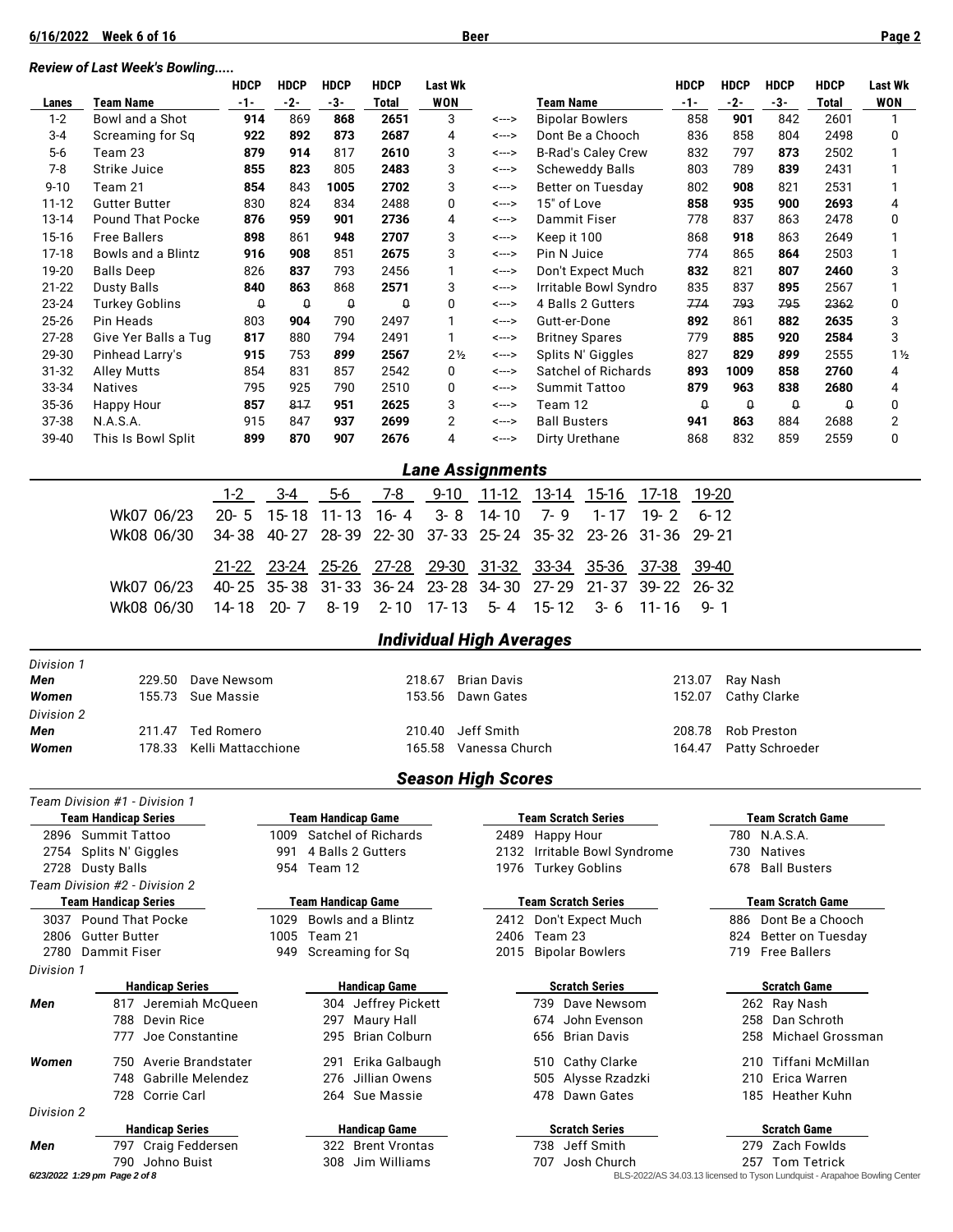#### *Review of Last Week's Bowling.....*

|                    |                                             | <b>HDCP</b>              | <b>HDCP</b>   | <b>HDCP</b>               | <b>HDCP</b>          | <b>Last Wk</b> |                                 |                            |                                               |           | <b>HDCP</b>        | <b>HDCP</b>        | <b>HDCP</b>              | <b>HDCP</b>           | <b>Last Wk</b> |
|--------------------|---------------------------------------------|--------------------------|---------------|---------------------------|----------------------|----------------|---------------------------------|----------------------------|-----------------------------------------------|-----------|--------------------|--------------------|--------------------------|-----------------------|----------------|
| Lanes              | <b>Team Name</b>                            | $-1-$                    | $-2-$         | $-3-$                     | Total                | <b>WON</b>     |                                 | <b>Team Name</b>           |                                               |           | $-1-$              | $-2-$              | $-3-$                    | Total                 | <b>WON</b>     |
| $1 - 2$            | Bowl and a Shot                             | 914                      | 869           | 868                       | 2651                 | 3              | <--->                           |                            | <b>Bipolar Bowlers</b>                        |           | 858                | 901                | 842                      | 2601                  | $\mathbf{1}$   |
| $3 - 4$<br>$5-6$   | Screaming for Sq<br>Team 23                 | 922<br>879               | 892<br>914    | 873<br>817                | 2687<br>2610         | 4<br>3         | <---><br><--->                  |                            | Dont Be a Chooch<br><b>B-Rad's Caley Crew</b> |           | 836<br>832         | 858<br>797         | 804<br>873               | 2498<br>2502          | 0<br>1         |
| $7 - 8$            | Strike Juice                                | 855                      | 823           | 805                       | 2483                 | 3              | <--->                           |                            | <b>Scheweddy Balls</b>                        |           | 803                | 789                | 839                      | 2431                  | 1              |
| $9 - 10$           | Team 21                                     | 854                      | 843           | 1005                      | 2702                 | 3              | <--->                           |                            | Better on Tuesday                             |           | 802                | 908                | 821                      | 2531                  | 1              |
| 11-12              | <b>Gutter Butter</b>                        | 830                      | 824           | 834                       | 2488                 | 0              | <--->                           | 15" of Love                |                                               |           | 858                | 935                | 900                      | 2693                  | 4              |
| 13-14              | <b>Pound That Pocke</b>                     | 876                      | 959           | 901                       | 2736                 | 4              | <--->                           | Dammit Fiser               |                                               |           | 778                | 837                | 863                      | 2478                  | 0              |
| 15-16              | <b>Free Ballers</b>                         | 898                      | 861           | 948                       | 2707                 | 3              | <--->                           | Keep it 100                |                                               |           | 868                | 918                | 863                      | 2649                  | 1              |
| $17-18$            | Bowls and a Blintz                          | 916                      | 908           | 851                       | 2675                 | 3              | <--->                           | Pin N Juice                |                                               |           | 774                | 865                | 864                      | 2503                  | 1              |
| 19-20              | <b>Balls Deep</b>                           | 826                      | 837           | 793                       | 2456                 | $\mathbf{1}$   | <--->                           |                            | Don't Expect Much                             |           | 832                | 821                | 807                      | 2460                  | 3              |
| $21 - 22$<br>23-24 | <b>Dusty Balls</b><br><b>Turkey Goblins</b> | 840                      | 863<br>Û<br>0 | 868<br>$\pmb{\mathsf{Q}}$ | 2571<br>$\theta$     | 3<br>0         | <---><br><--->                  |                            | Irritable Bowl Syndro<br>4 Balls 2 Gutters    |           | 835<br>774         | 837<br>793         | 895<br>795               | 2567<br>2362          | 1<br>0         |
| 25-26              | Pin Heads                                   | 803                      | 904           | 790                       | 2497                 | 1              | <--->                           | Gutt-er-Done               |                                               |           | 892                | 861                | 882                      | 2635                  | 3              |
| 27-28              | Give Yer Balls a Tug                        | 817                      | 880           | 794                       | 2491                 | 1              | <--->                           |                            | <b>Britney Spares</b>                         |           | 779                | 885                | 920                      | 2584                  | 3              |
| 29-30              | Pinhead Larry's                             | 915                      | 753           | 899                       | 2567                 | 2 <sub>2</sub> | <--->                           |                            | Splits N' Giggles                             |           | 827                | 829                | 899                      | 2555                  | $1\frac{1}{2}$ |
| 31-32              | <b>Alley Mutts</b>                          | 854                      | 831           | 857                       | 2542                 | 0              | <--->                           |                            | Satchel of Richards                           |           | 893                | 1009               | 858                      | 2760                  | 4              |
| 33-34              | <b>Natives</b>                              | 795                      | 925           | 790                       | 2510                 | 0              | <--->                           |                            | <b>Summit Tattoo</b>                          |           | 879                | 963                | 838                      | 2680                  | 4              |
| 35-36              | <b>Happy Hour</b>                           | 857                      | 817           | 951                       | 2625                 | 3              | <--->                           | Team 12                    |                                               |           | $\pmb{\mathsf{Q}}$ | $\pmb{\mathsf{Q}}$ | $\theta$                 | 0                     | 0              |
| 37-38              | N.A.S.A.                                    | 915                      | 847           | 937                       | 2699                 | 2              | <--->                           | <b>Ball Busters</b>        |                                               |           | 941                | 863                | 884                      | 2688                  | 2              |
| 39-40              | This Is Bowl Split                          | 899                      | 870           | 907                       | 2676                 | 4              | <--->                           |                            | Dirty Urethane                                |           | 868                | 832                | 859                      | 2559                  | 0              |
|                    |                                             |                          |               |                           |                      |                | <b>Lane Assignments</b>         |                            |                                               |           |                    |                    |                          |                       |                |
|                    |                                             | $1 - 2$                  | $3-4$         | $5-6$                     | $7 - 8$              | $9 - 10$       | $11 - 12$                       | 13-14                      | $15-16$                                       | $17-18$   | 19-20              |                    |                          |                       |                |
|                    | Wk07 06/23                                  | $20 - 5$                 | $15 - 18$     | $11 - 13$                 | $16 - 4$             | $3 - 8$        | $14 - 10$                       | $7 - 9$                    | $1 - 17$                                      | $19 - 2$  |                    | $6 - 12$           |                          |                       |                |
|                    | Wk08 06/30                                  | 34-38                    | 40-27         | 28-39                     | $22 - 30$            | $37 - 33$      | $25 - 24$                       | $35 - 32$                  | $23 - 26$                                     | $31 - 36$ | $29 - 21$          |                    |                          |                       |                |
|                    |                                             |                          |               |                           |                      |                |                                 |                            |                                               |           |                    |                    |                          |                       |                |
|                    |                                             | $21 - 22$                | $23 - 24$     | 25-26                     | $27 - 28$            | 29-30          | $31 - 32$                       |                            | 33-34 35-36                                   | 37-38     | 39-40              |                    |                          |                       |                |
|                    | Wk07 06/23                                  | 40-25                    | $35 - 38$     | $31 - 33$                 | $36 - 24$            | $23 - 28$      | 34-30                           | $27 - 29$                  | $21 - 37$                                     | 39-22     | $26 - 32$          |                    |                          |                       |                |
|                    | Wk08 06/30                                  | $14 - 18$                | $20 - 7$      | $8 - 19$                  | $2 - 10$             | $17 - 13$      | $5 - 4$                         | $15 - 12$                  | $3 - 6$                                       | $11 - 16$ | $9 - 1$            |                    |                          |                       |                |
|                    |                                             |                          |               |                           |                      |                | <b>Individual High Averages</b> |                            |                                               |           |                    |                    |                          |                       |                |
| Division 1         |                                             |                          |               |                           |                      |                |                                 |                            |                                               |           |                    |                    |                          |                       |                |
| Men                | 229.50                                      | Dave Newsom              |               |                           |                      | 218.67         | <b>Brian Davis</b>              |                            |                                               |           | 213.07             | Ray Nash           |                          |                       |                |
| <b>Women</b>       | 155.73                                      | Sue Massie               |               |                           |                      | 153.56         | Dawn Gates                      |                            |                                               |           | 152.07             |                    | Cathy Clarke             |                       |                |
| Division 2         |                                             |                          |               |                           |                      |                |                                 |                            |                                               |           |                    |                    |                          |                       |                |
| Men                | 211.47                                      | <b>Ted Romero</b>        |               |                           |                      | 210.40         | Jeff Smith                      |                            |                                               |           | 208.78             |                    | <b>Rob Preston</b>       |                       |                |
| Women              | 178.33                                      | Kelli Mattacchione       |               |                           |                      | 165.58         | Vanessa Church                  |                            |                                               |           | 164.47             |                    | Patty Schroeder          |                       |                |
|                    |                                             |                          |               |                           |                      |                | <b>Season High Scores</b>       |                            |                                               |           |                    |                    |                          |                       |                |
|                    | Team Division #1 - Division 1               |                          |               |                           |                      |                |                                 |                            |                                               |           |                    |                    |                          |                       |                |
|                    | <b>Team Handicap Series</b>                 |                          |               | <b>Team Handicap Game</b> |                      |                |                                 | <b>Team Scratch Series</b> |                                               |           |                    |                    | <b>Team Scratch Game</b> |                       |                |
|                    | 2896 Summit Tattoo                          |                          | 1009<br>991   | 4 Balls 2 Gutters         | Satchel of Richards  |                |                                 | 2489 Happy Hour            | 2132 Irritable Bowl Syndrome                  |           |                    | 730                | 780 N.A.S.A.<br>Natives  |                       |                |
|                    | 2754 Splits N' Giggles<br>2728 Dusty Balls  |                          |               | 954 Team 12               |                      |                |                                 | 1976 Turkey Goblins        |                                               |           |                    | 678                | <b>Ball Busters</b>      |                       |                |
|                    | Team Division #2 - Division 2               |                          |               |                           |                      |                |                                 |                            |                                               |           |                    |                    |                          |                       |                |
|                    | <b>Team Handicap Series</b>                 |                          |               | <b>Team Handicap Game</b> |                      |                |                                 | <b>Team Scratch Series</b> |                                               |           |                    |                    | <b>Team Scratch Game</b> |                       |                |
|                    | 3037 Pound That Pocke                       |                          | 1029          | Bowls and a Blintz        |                      |                | 2412                            |                            | Don't Expect Much                             |           |                    |                    |                          | 886 Dont Be a Chooch  |                |
|                    | 2806 Gutter Butter                          |                          |               | 1005 Team 21              |                      |                |                                 | 2406 Team 23               |                                               |           |                    |                    |                          | 824 Better on Tuesday |                |
|                    | 2780 Dammit Fiser                           |                          | 949           | Screaming for Sq          |                      |                |                                 | 2015 Bipolar Bowlers       |                                               |           |                    |                    | 719 Free Ballers         |                       |                |
| Division 1         | <b>Handicap Series</b>                      |                          |               |                           | <b>Handicap Game</b> |                |                                 |                            | <b>Scratch Series</b>                         |           |                    |                    | <b>Scratch Game</b>      |                       |                |
| Men                | 817 Jeremiah McQueen                        |                          |               |                           | 304 Jeffrey Pickett  |                |                                 |                            | 739 Dave Newsom                               |           |                    |                    | 262 Ray Nash             |                       |                |
|                    | 788 Devin Rice                              |                          |               |                           | 297 Maury Hall       |                |                                 |                            | 674 John Evenson                              |           |                    |                    | 258 Dan Schroth          |                       |                |
|                    | Joe Constantine<br>777                      |                          |               |                           | 295 Brian Colburn    |                |                                 |                            | 656 Brian Davis                               |           |                    | 258                |                          | Michael Grossman      |                |
| Women              | 750 Averie Brandstater                      |                          |               | 291                       | Erika Galbaugh       |                |                                 |                            | 510 Cathy Clarke                              |           |                    |                    |                          | 210 Tiffani McMillan  |                |
|                    | 748                                         | <b>Gabrille Melendez</b> |               |                           | 276 Jillian Owens    |                |                                 |                            | 505 Alysse Rzadzki                            |           |                    |                    | 210 Erica Warren         |                       |                |
|                    | 728 Corrie Carl                             |                          |               |                           | 264 Sue Massie       |                |                                 |                            | 478 Dawn Gates                                |           |                    |                    | 185 Heather Kuhn         |                       |                |
| Division 2         | <b>Handicap Series</b>                      |                          |               |                           | <b>Handicap Game</b> |                |                                 |                            | <b>Scratch Series</b>                         |           |                    |                    | <b>Scratch Game</b>      |                       |                |
| Men                | 797 Craig Feddersen                         |                          |               |                           | 322 Brent Vrontas    |                |                                 |                            | 738 Jeff Smith                                |           |                    |                    | 279 Zach Fowlds          |                       |                |
|                    |                                             |                          |               |                           |                      |                |                                 |                            |                                               |           |                    |                    |                          |                       |                |

790 Johno Buist 308 Jim Williams 707 Josh Church 257 Tom Tetrick *6/23/2022 1:29 pm Page 2 of 8* BLS-2022/AS 34.03.13 licensed to Tyson Lundquist - Arapahoe Bowling Center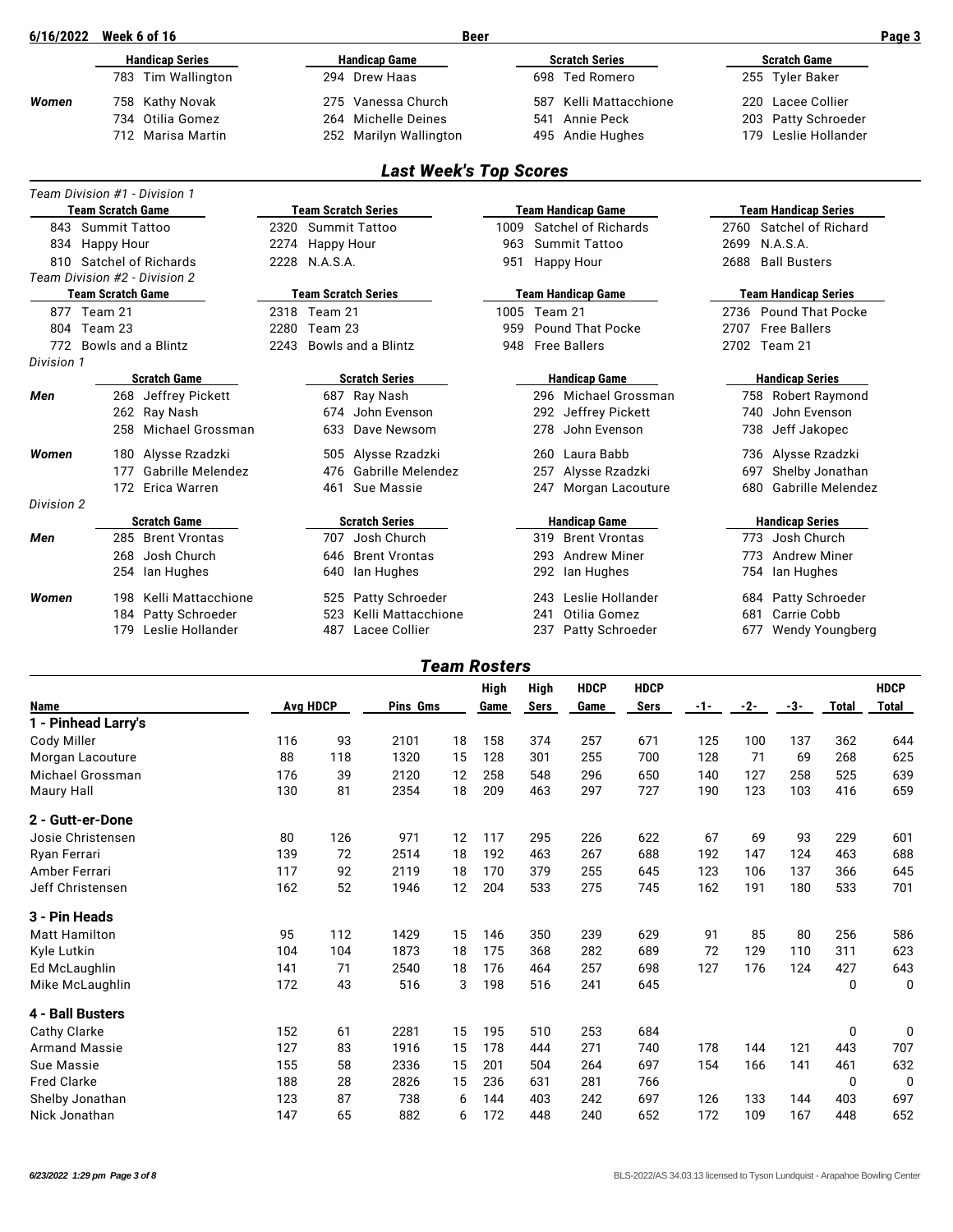| 6/16/2022  | Week 6 of 16                    |                    | <b>Beer</b>                   |              |     |                           |      | Page 3                      |
|------------|---------------------------------|--------------------|-------------------------------|--------------|-----|---------------------------|------|-----------------------------|
|            | <b>Handicap Series</b>          |                    | <b>Handicap Game</b>          |              |     | <b>Scratch Series</b>     |      | <b>Scratch Game</b>         |
|            | 783 Tim Wallington              |                    | 294 Drew Haas                 |              |     | 698 Ted Romero            |      | 255 Tyler Baker             |
| Women      | Kathy Novak<br>758              |                    | 275 Vanessa Church            |              | 587 | Kelli Mattacchione        |      | 220 Lacee Collier           |
|            | 734 Otilia Gomez                |                    | 264 Michelle Deines           |              | 541 | Annie Peck                | 203  | <b>Patty Schroeder</b>      |
|            | 712 Marisa Martin               |                    | 252 Marilyn Wallington        |              |     | 495 Andie Hughes          |      | 179 Leslie Hollander        |
|            |                                 |                    | <b>Last Week's Top Scores</b> |              |     |                           |      |                             |
|            | Team Division #1 - Division 1   |                    |                               |              |     |                           |      |                             |
|            | <b>Team Scratch Game</b>        |                    | <b>Team Scratch Series</b>    |              |     | <b>Team Handicap Game</b> |      | <b>Team Handicap Series</b> |
|            | 843 Summit Tattoo               | 2320 Summit Tattoo |                               |              |     | 1009 Satchel of Richards  |      | 2760 Satchel of Richard     |
|            | 834 Happy Hour                  | 2274 Happy Hour    |                               |              |     | 963 Summit Tattoo         | 2699 | N.A.S.A.                    |
|            | 810 Satchel of Richards         | 2228<br>N.A.S.A.   |                               |              |     | 951 Happy Hour            | 2688 | <b>Ball Busters</b>         |
|            | Team Division #2 - Division 2   |                    |                               |              |     |                           |      |                             |
|            | <b>Team Scratch Game</b>        |                    | <b>Team Scratch Series</b>    |              |     | <b>Team Handicap Game</b> |      | <b>Team Handicap Series</b> |
|            | 877 Team 21                     | 2318 Team 21       |                               | 1005 Team 21 |     |                           |      | 2736 Pound That Pocke       |
|            | 804 Team 23                     | Team 23<br>2280    |                               | 959          |     | Pound That Pocke          |      | 2707 Free Ballers           |
|            | 772 Bowls and a Blintz          | 2243               | Bowls and a Blintz            |              |     | 948 Free Ballers          |      | 2702 Team 21                |
| Division 1 |                                 |                    |                               |              |     |                           |      |                             |
|            | <b>Scratch Game</b>             |                    | <b>Scratch Series</b>         |              |     | <b>Handicap Game</b>      |      | <b>Handicap Series</b>      |
| Men        | 268 Jeffrey Pickett             |                    | 687 Ray Nash                  |              |     | 296 Michael Grossman      |      | 758 Robert Raymond          |
|            | 262 Ray Nash                    |                    | 674 John Evenson              |              |     | 292 Jeffrey Pickett       | 740  | John Evenson                |
|            | 258<br>Michael Grossman         |                    | 633 Dave Newsom               |              |     | 278 John Evenson          | 738  | Jeff Jakopec                |
| Women      | 180 Alysse Rzadzki              |                    | 505 Alysse Rzadzki            |              | 260 | Laura Babb                | 736  | Alysse Rzadzki              |
|            | <b>Gabrille Melendez</b><br>177 |                    | 476 Gabrille Melendez         |              |     | 257 Alysse Rzadzki        | 697  | Shelby Jonathan             |
|            | 172 Erica Warren                | 461                | Sue Massie                    |              |     | 247 Morgan Lacouture      | 680  | <b>Gabrille Melendez</b>    |
| Division 2 |                                 |                    |                               |              |     |                           |      |                             |
|            | <b>Scratch Game</b>             |                    | <b>Scratch Series</b>         |              |     | <b>Handicap Game</b>      |      | <b>Handicap Series</b>      |
| Men        | 285 Brent Vrontas               |                    | 707 Josh Church               |              |     | 319 Brent Vrontas         |      | 773 Josh Church             |
|            | 268<br>Josh Church              |                    | 646 Brent Vrontas             |              |     | 293 Andrew Miner          | 773  | Andrew Miner                |
|            | lan Hughes<br>254               | 640                | lan Hughes                    |              |     | 292 Ian Hughes            | 754  | lan Hughes                  |
| Women      | Kelli Mattacchione<br>198       |                    | 525 Patty Schroeder           |              | 243 | Leslie Hollander          | 684  | Patty Schroeder             |
|            | Patty Schroeder<br>184          |                    | 523 Kelli Mattacchione        |              | 241 | Otilia Gomez              | 681  | Carrie Cobb                 |
|            | Leslie Hollander<br>179         | 487                | Lacee Collier                 |              |     | 237 Patty Schroeder       | 677  | Wendy Youngberg             |

### *Team Rosters*

|                      |          |     |                 |    | High | <b>High</b> | <b>HDCP</b> | <b>HDCP</b> |       |       |     |             | <b>HDCP</b> |
|----------------------|----------|-----|-----------------|----|------|-------------|-------------|-------------|-------|-------|-----|-------------|-------------|
| <b>Name</b>          | Avg HDCP |     | <b>Pins Gms</b> |    | Game | <b>Sers</b> | Game        | <b>Sers</b> | $-1-$ | $-2-$ | -3- | Total       | Total       |
| 1 - Pinhead Larry's  |          |     |                 |    |      |             |             |             |       |       |     |             |             |
| Cody Miller          | 116      | 93  | 2101            | 18 | 158  | 374         | 257         | 671         | 125   | 100   | 137 | 362         | 644         |
| Morgan Lacouture     | 88       | 118 | 1320            | 15 | 128  | 301         | 255         | 700         | 128   | 71    | 69  | 268         | 625         |
| Michael Grossman     | 176      | 39  | 2120            | 12 | 258  | 548         | 296         | 650         | 140   | 127   | 258 | 525         | 639         |
| Maury Hall           | 130      | 81  | 2354            | 18 | 209  | 463         | 297         | 727         | 190   | 123   | 103 | 416         | 659         |
| 2 - Gutt-er-Done     |          |     |                 |    |      |             |             |             |       |       |     |             |             |
| Josie Christensen    | 80       | 126 | 971             | 12 | 117  | 295         | 226         | 622         | 67    | 69    | 93  | 229         | 601         |
| Ryan Ferrari         | 139      | 72  | 2514            | 18 | 192  | 463         | 267         | 688         | 192   | 147   | 124 | 463         | 688         |
| Amber Ferrari        | 117      | 92  | 2119            | 18 | 170  | 379         | 255         | 645         | 123   | 106   | 137 | 366         | 645         |
| Jeff Christensen     | 162      | 52  | 1946            | 12 | 204  | 533         | 275         | 745         | 162   | 191   | 180 | 533         | 701         |
| 3 - Pin Heads        |          |     |                 |    |      |             |             |             |       |       |     |             |             |
| <b>Matt Hamilton</b> | 95       | 112 | 1429            | 15 | 146  | 350         | 239         | 629         | 91    | 85    | 80  | 256         | 586         |
| Kyle Lutkin          | 104      | 104 | 1873            | 18 | 175  | 368         | 282         | 689         | 72    | 129   | 110 | 311         | 623         |
| Ed McLaughlin        | 141      | 71  | 2540            | 18 | 176  | 464         | 257         | 698         | 127   | 176   | 124 | 427         | 643         |
| Mike McLaughlin      | 172      | 43  | 516             | 3  | 198  | 516         | 241         | 645         |       |       |     | 0           | $\mathbf 0$ |
| 4 - Ball Busters     |          |     |                 |    |      |             |             |             |       |       |     |             |             |
| Cathy Clarke         | 152      | 61  | 2281            | 15 | 195  | 510         | 253         | 684         |       |       |     | $\mathbf 0$ | $\mathbf 0$ |
| <b>Armand Massie</b> | 127      | 83  | 1916            | 15 | 178  | 444         | 271         | 740         | 178   | 144   | 121 | 443         | 707         |
| Sue Massie           | 155      | 58  | 2336            | 15 | 201  | 504         | 264         | 697         | 154   | 166   | 141 | 461         | 632         |
| <b>Fred Clarke</b>   | 188      | 28  | 2826            | 15 | 236  | 631         | 281         | 766         |       |       |     | 0           | 0           |
| Shelby Jonathan      | 123      | 87  | 738             | 6  | 144  | 403         | 242         | 697         | 126   | 133   | 144 | 403         | 697         |
| Nick Jonathan        | 147      | 65  | 882             | 6  | 172  | 448         | 240         | 652         | 172   | 109   | 167 | 448         | 652         |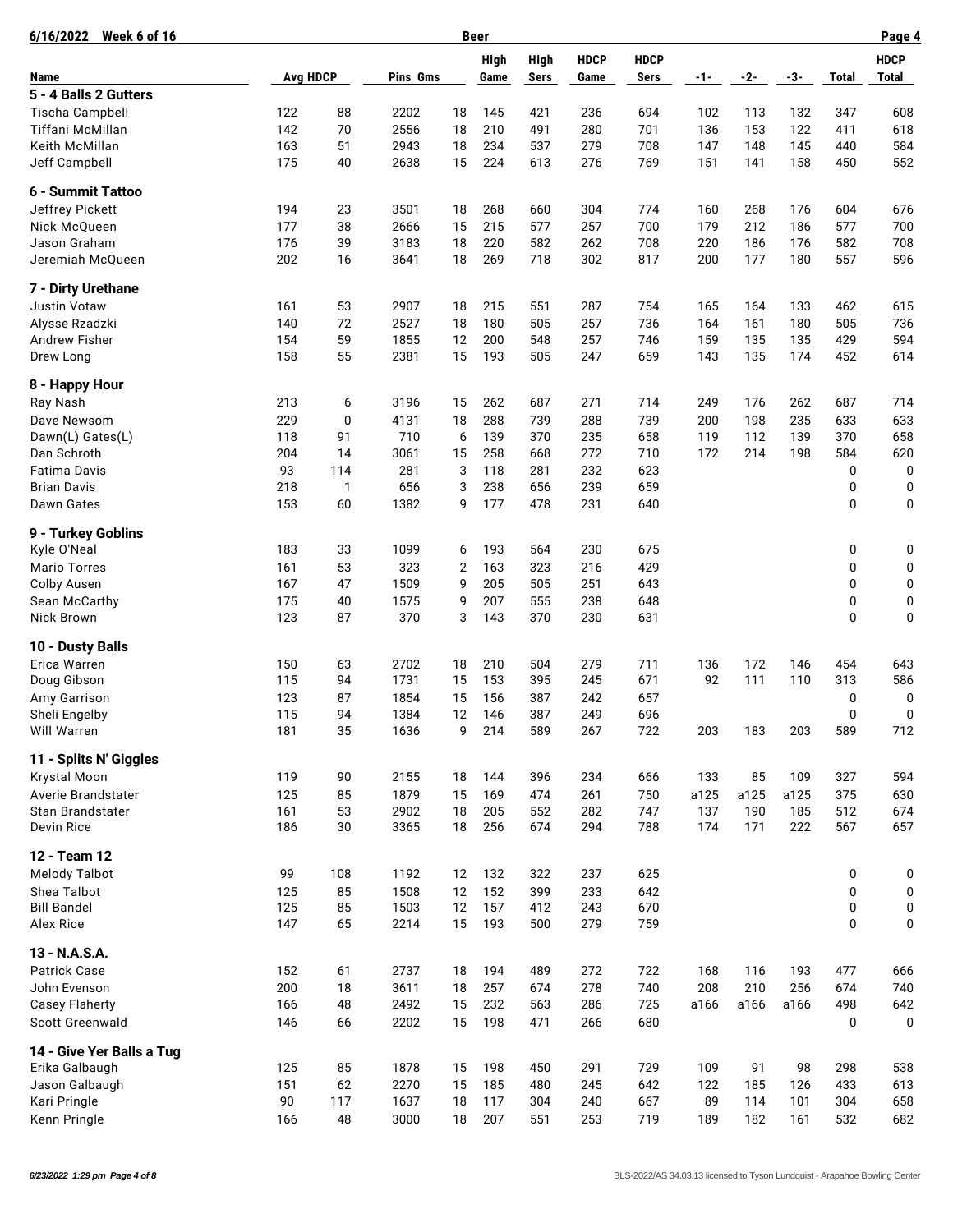| Week 6 of 16<br>6/16/2022 |                 |              |          |    | <b>Beer</b> |      |             |             |       |       |      |       | Page 4       |
|---------------------------|-----------------|--------------|----------|----|-------------|------|-------------|-------------|-------|-------|------|-------|--------------|
|                           |                 |              |          |    | <b>High</b> | High | <b>HDCP</b> | <b>HDCP</b> |       |       |      |       | <b>HDCP</b>  |
| Name                      | <b>Avg HDCP</b> |              | Pins Gms |    | Game        | Sers | Game        | <b>Sers</b> | $-1-$ | $-2-$ | -3-  | Total | <b>Total</b> |
| 5 - 4 Balls 2 Gutters     |                 |              |          |    |             |      |             |             |       |       |      |       |              |
| Tischa Campbell           | 122             | 88           | 2202     | 18 | 145         | 421  | 236         | 694         | 102   | 113   | 132  | 347   | 608          |
| Tiffani McMillan          | 142             | 70           | 2556     | 18 | 210         | 491  | 280         | 701         | 136   | 153   | 122  | 411   | 618          |
| Keith McMillan            | 163             | 51           | 2943     | 18 | 234         | 537  | 279         | 708         | 147   | 148   | 145  | 440   | 584          |
| Jeff Campbell             | 175             | 40           | 2638     | 15 | 224         | 613  | 276         | 769         | 151   | 141   | 158  | 450   | 552          |
| 6 - Summit Tattoo         |                 |              |          |    |             |      |             |             |       |       |      |       |              |
| Jeffrey Pickett           | 194             | 23           | 3501     | 18 | 268         | 660  | 304         | 774         | 160   | 268   | 176  | 604   | 676          |
| Nick McQueen              | 177             | 38           | 2666     | 15 | 215         | 577  | 257         | 700         | 179   | 212   | 186  | 577   | 700          |
| Jason Graham              | 176             | 39           | 3183     | 18 | 220         | 582  | 262         | 708         | 220   | 186   | 176  | 582   | 708          |
| Jeremiah McQueen          | 202             | 16           | 3641     | 18 | 269         | 718  | 302         | 817         | 200   | 177   | 180  | 557   | 596          |
| 7 - Dirty Urethane        |                 |              |          |    |             |      |             |             |       |       |      |       |              |
| Justin Votaw              | 161             | 53           | 2907     | 18 | 215         | 551  | 287         | 754         | 165   | 164   | 133  | 462   | 615          |
| Alysse Rzadzki            | 140             | 72           | 2527     | 18 | 180         | 505  | 257         | 736         | 164   | 161   | 180  | 505   | 736          |
| Andrew Fisher             | 154             | 59           | 1855     | 12 | 200         | 548  | 257         | 746         | 159   | 135   | 135  | 429   | 594          |
| Drew Long                 | 158             | 55           | 2381     | 15 | 193         | 505  | 247         | 659         | 143   | 135   | 174  | 452   | 614          |
| 8 - Happy Hour            |                 |              |          |    |             |      |             |             |       |       |      |       |              |
| Ray Nash                  | 213             | 6            | 3196     | 15 | 262         | 687  | 271         | 714         | 249   | 176   | 262  | 687   | 714          |
| Dave Newsom               | 229             | 0            | 4131     | 18 | 288         | 739  | 288         | 739         | 200   | 198   | 235  | 633   | 633          |
| Dawn(L) Gates(L)          | 118             | 91           | 710      | 6  | 139         | 370  | 235         | 658         | 119   | 112   | 139  | 370   | 658          |
| Dan Schroth               | 204             | 14           | 3061     | 15 | 258         | 668  | 272         | 710         | 172   | 214   | 198  | 584   | 620          |
| Fatima Davis              | 93              | 114          | 281      | 3  | 118         | 281  | 232         | 623         |       |       |      | 0     | 0            |
| <b>Brian Davis</b>        | 218             | $\mathbf{1}$ | 656      | 3  | 238         | 656  | 239         | 659         |       |       |      | 0     | 0            |
| Dawn Gates                | 153             | 60           | 1382     | 9  | 177         | 478  | 231         | 640         |       |       |      | 0     | 0            |
| 9 - Turkey Goblins        |                 |              |          |    |             |      |             |             |       |       |      |       |              |
| Kyle O'Neal               | 183             | 33           | 1099     | 6  | 193         | 564  | 230         | 675         |       |       |      | 0     | 0            |
| Mario Torres              | 161             | 53           | 323      | 2  | 163         | 323  | 216         | 429         |       |       |      | 0     | 0            |
| Colby Ausen               | 167             | 47           | 1509     | 9  | 205         | 505  | 251         | 643         |       |       |      | 0     | 0            |
| Sean McCarthy             | 175             | 40           | 1575     | 9  | 207         | 555  | 238         | 648         |       |       |      | 0     | 0            |
| Nick Brown                | 123             | 87           | 370      | 3  | 143         | 370  | 230         | 631         |       |       |      | 0     | 0            |
| 10 - Dusty Balls          |                 |              |          |    |             |      |             |             |       |       |      |       |              |
| Erica Warren              | 150             | 63           | 2702     | 18 | 210         | 504  | 279         | 711         | 136   | 172   | 146  | 454   | 643          |
| Doug Gibson               | 115             | 94           | 1731     | 15 | 153         | 395  | 245         | 671         | 92    | 111   | 110  | 313   | 586          |
| Amy Garrison              | 123             | 87           | 1854     | 15 | 156         | 387  | 242         | 657         |       |       |      | 0     | 0            |
| Sheli Engelby             | 115             | 94           | 1384     | 12 | 146         | 387  | 249         | 696         |       |       |      | 0     | 0            |
| Will Warren               | 181             | 35           | 1636     | 9  | 214         | 589  | 267         | 722         | 203   | 183   | 203  | 589   | 712          |
| 11 - Splits N' Giggles    |                 |              |          |    |             |      |             |             |       |       |      |       |              |
| Krystal Moon              | 119             | 90           | 2155     | 18 | 144         | 396  | 234         | 666         | 133   | 85    | 109  | 327   | 594          |
| Averie Brandstater        | 125             | 85           | 1879     | 15 | 169         | 474  | 261         | 750         | a125  | a125  | a125 | 375   | 630          |
| Stan Brandstater          | 161             | 53           | 2902     | 18 | 205         | 552  | 282         | 747         | 137   | 190   | 185  | 512   | 674          |
| Devin Rice                | 186             | 30           | 3365     | 18 | 256         | 674  | 294         | 788         | 174   | 171   | 222  | 567   | 657          |
| 12 - Team 12              |                 |              |          |    |             |      |             |             |       |       |      |       |              |
| <b>Melody Talbot</b>      | 99              | 108          | 1192     | 12 | 132         | 322  | 237         | 625         |       |       |      | 0     | 0            |
| Shea Talbot               | 125             | 85           | 1508     | 12 | 152         | 399  | 233         | 642         |       |       |      | 0     | 0            |
| <b>Bill Bandel</b>        | 125             | 85           | 1503     | 12 | 157         | 412  | 243         | 670         |       |       |      | 0     | 0            |
| Alex Rice                 | 147             | 65           | 2214     | 15 | 193         | 500  | 279         | 759         |       |       |      | 0     | 0            |
| 13 - N.A.S.A.             |                 |              |          |    |             |      |             |             |       |       |      |       |              |
| <b>Patrick Case</b>       | 152             | 61           | 2737     | 18 | 194         | 489  | 272         | 722         | 168   | 116   | 193  | 477   | 666          |
| John Evenson              | 200             | 18           | 3611     | 18 | 257         | 674  | 278         | 740         | 208   | 210   | 256  | 674   | 740          |
| <b>Casey Flaherty</b>     | 166             | 48           | 2492     | 15 | 232         | 563  | 286         | 725         | a166  | a166  | a166 | 498   | 642          |
| Scott Greenwald           | 146             | 66           | 2202     | 15 | 198         | 471  | 266         | 680         |       |       |      | 0     | 0            |
| 14 - Give Yer Balls a Tug |                 |              |          |    |             |      |             |             |       |       |      |       |              |
| Erika Galbaugh            | 125             | 85           | 1878     | 15 | 198         | 450  | 291         | 729         | 109   | 91    | 98   | 298   | 538          |
| Jason Galbaugh            | 151             | 62           | 2270     | 15 | 185         | 480  | 245         | 642         | 122   | 185   | 126  | 433   | 613          |
| Kari Pringle              | 90              | 117          | 1637     | 18 | 117         | 304  | 240         | 667         | 89    | 114   | 101  | 304   | 658          |
| Kenn Pringle              | 166             | 48           | 3000     | 18 | 207         | 551  | 253         | 719         | 189   | 182   | 161  | 532   | 682          |
|                           |                 |              |          |    |             |      |             |             |       |       |      |       |              |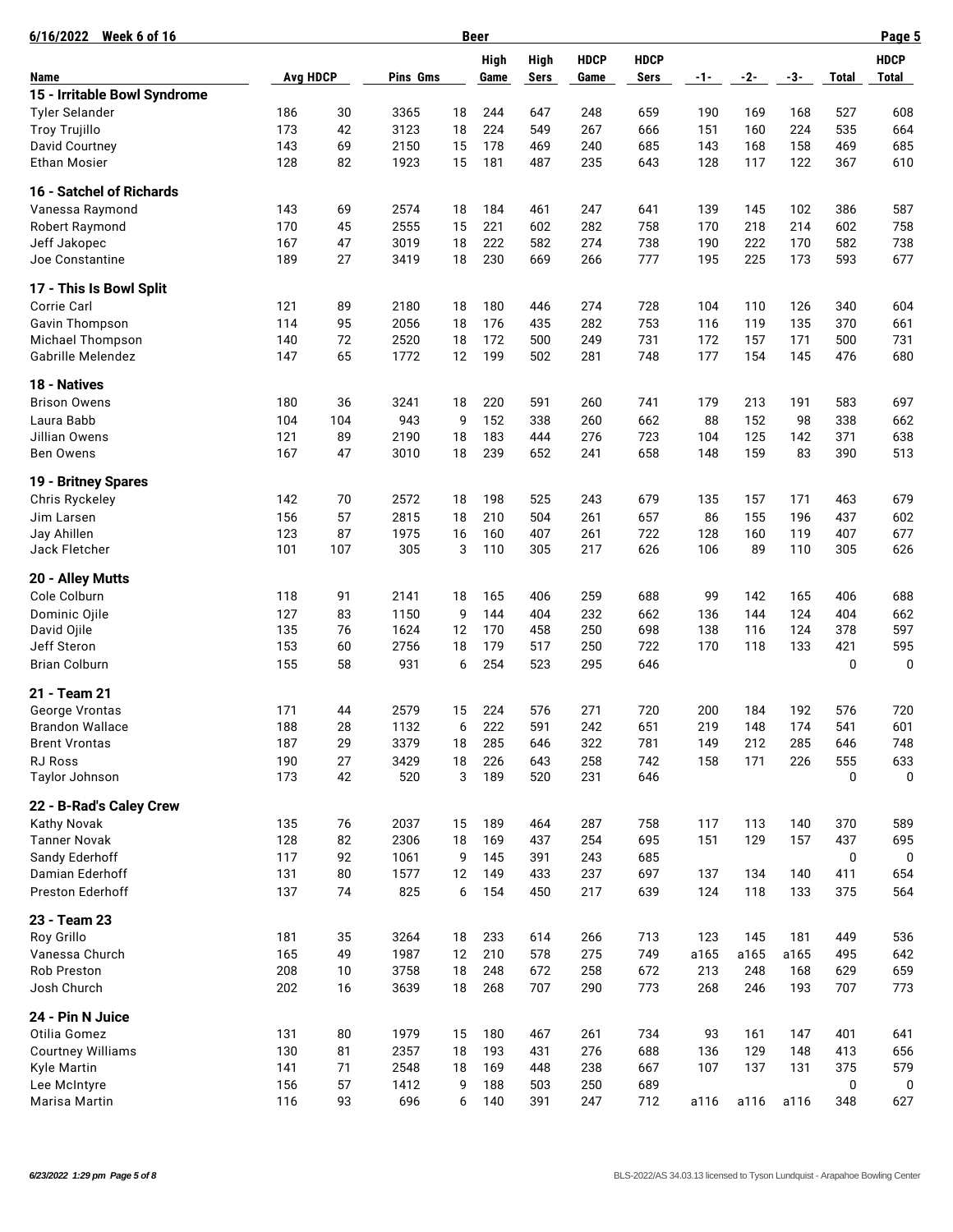| 6/16/2022<br><b>Week 6 of 16</b>    |                 |          |             |         | <b>Beer</b> |             |             |             |            |            |            |              | Page 5       |
|-------------------------------------|-----------------|----------|-------------|---------|-------------|-------------|-------------|-------------|------------|------------|------------|--------------|--------------|
|                                     |                 |          |             |         | <b>High</b> | High        | <b>HDCP</b> | <b>HDCP</b> |            |            |            |              | <b>HDCP</b>  |
| Name                                | <b>Avg HDCP</b> |          | Pins Gms    |         | Game        | <b>Sers</b> | Game        | <b>Sers</b> | $-1-$      | $-2-$      | $-3-$      | <b>Total</b> | <b>Total</b> |
| 15 - Irritable Bowl Syndrome        |                 |          |             |         |             |             |             |             |            |            |            |              |              |
| <b>Tyler Selander</b>               | 186             | 30       | 3365        | 18      | 244         | 647         | 248         | 659         | 190        | 169        | 168        | 527          | 608          |
| <b>Troy Trujillo</b>                | 173             | 42       | 3123        | 18      | 224         | 549         | 267         | 666         | 151        | 160        | 224        | 535          | 664          |
| David Courtney                      | 143             | 69       | 2150        | 15      | 178         | 469         | 240         | 685         | 143        | 168        | 158        | 469          | 685          |
| <b>Ethan Mosier</b>                 | 128             | 82       | 1923        | 15      | 181         | 487         | 235         | 643         | 128        | 117        | 122        | 367          | 610          |
| 16 - Satchel of Richards            |                 |          |             |         |             |             |             |             |            |            |            |              |              |
| Vanessa Raymond                     | 143             | 69       | 2574        | 18      | 184         | 461         | 247         | 641         | 139        | 145        | 102        | 386          | 587          |
| Robert Raymond                      | 170             | 45       | 2555        | 15      | 221         | 602         | 282         | 758         | 170        | 218        | 214        | 602          | 758          |
| Jeff Jakopec                        | 167             | 47       | 3019        | 18      | 222         | 582         | 274         | 738         | 190        | 222        | 170        | 582          | 738          |
| Joe Constantine                     | 189             | 27       | 3419        | 18      | 230         | 669         | 266         | 777         | 195        | 225        | 173        | 593          | 677          |
| 17 - This Is Bowl Split             |                 |          |             |         |             |             |             |             |            |            |            |              |              |
| Corrie Carl                         | 121             | 89       | 2180        | 18      | 180         | 446         | 274         | 728         | 104        | 110        | 126        | 340          | 604          |
| Gavin Thompson                      | 114             | 95       | 2056        | 18      | 176         | 435         | 282         | 753         | 116        | 119        | 135        | 370          | 661          |
| Michael Thompson                    | 140             | 72       | 2520        | 18      | 172         | 500         | 249         | 731         | 172        | 157        | 171        | 500          | 731          |
| Gabrille Melendez                   | 147             | 65       | 1772        | 12      | 199         | 502         | 281         | 748         | 177        | 154        | 145        | 476          | 680          |
| 18 - Natives                        |                 |          |             |         |             |             |             |             |            |            |            |              |              |
| <b>Brison Owens</b>                 | 180             | 36       | 3241        | 18      | 220         | 591         | 260         | 741         | 179        | 213        | 191        | 583          | 697          |
| Laura Babb                          | 104             | 104      | 943         | 9       | 152         | 338         | 260         | 662         | 88         | 152        | 98         | 338          | 662          |
| Jillian Owens                       | 121             | 89       | 2190        | 18      | 183         | 444         | 276         | 723         | 104        | 125        | 142        | 371          | 638          |
| <b>Ben Owens</b>                    | 167             | 47       | 3010        | 18      | 239         | 652         | 241         | 658         | 148        | 159        | 83         | 390          | 513          |
| 19 - Britney Spares                 |                 |          |             |         |             |             |             |             |            |            |            |              |              |
| Chris Ryckeley                      | 142             | 70       | 2572        | 18      | 198         | 525         | 243         | 679         | 135        | 157        | 171        | 463          | 679          |
| Jim Larsen                          | 156             | 57       | 2815        | 18      | 210         | 504         | 261         | 657         | 86         | 155        | 196        | 437          | 602          |
| Jay Ahillen                         | 123             | 87       | 1975        | 16      | 160         | 407         | 261         | 722         | 128        | 160        | 119        | 407          | 677          |
| Jack Fletcher                       | 101             | 107      | 305         | 3       | 110         | 305         | 217         | 626         | 106        | 89         | 110        | 305          | 626          |
| 20 - Alley Mutts                    |                 |          |             |         |             |             |             |             |            |            |            |              |              |
| Cole Colburn                        | 118             | 91       | 2141        | 18      | 165         | 406         | 259         | 688         | 99         | 142        | 165        | 406          | 688          |
| Dominic Ojile                       | 127             | 83       | 1150        | 9       | 144         | 404         | 232         | 662         | 136        | 144        | 124        | 404          | 662          |
| David Ojile                         | 135             | 76       | 1624        | 12      | 170         | 458         | 250         | 698         | 138        | 116        | 124        | 378          | 597          |
| Jeff Steron                         | 153             | 60       | 2756        | 18      | 179         | 517         | 250         | 722         | 170        | 118        | 133        | 421          | 595          |
| <b>Brian Colburn</b>                | 155             | 58       | 931         | 6       | 254         | 523         | 295         | 646         |            |            |            | 0            | $\mathbf 0$  |
| 21 - Team 21                        |                 |          |             |         |             |             |             |             |            |            |            |              |              |
| George Vrontas                      | 171             | 44       | 2579        | 15      | 224         | 576         | 271         | 720         | 200        | 184        | 192        | 576          | 720          |
| <b>Brandon Wallace</b>              | 188             | 28       | 1132        | 6       | 222         | 591         | 242         | 651         | 219        | 148        | 174        | 541          | 601          |
| <b>Brent Vrontas</b>                | 187             | 29       | 3379        | 18      | 285         | 646         | 322         | 781         | 149        | 212        | 285        | 646          | 748          |
| <b>RJ Ross</b>                      | 190             | 27       | 3429        | 18      | 226         | 643         | 258         | 742         | 158        | 171        | 226        | 555          | 633          |
| Taylor Johnson                      | 173             | 42       | 520         | 3       | 189         | 520         | 231         | 646         |            |            |            | 0            | $\mathbf 0$  |
| 22 - B-Rad's Caley Crew             |                 |          |             |         |             |             |             |             |            |            |            |              |              |
| Kathy Novak                         | 135             | 76       | 2037        | 15      | 189         | 464         | 287         | 758         | 117        | 113        | 140        | 370          | 589          |
| <b>Tanner Novak</b>                 | 128             | 82       | 2306        | 18      | 169         | 437         | 254         | 695         | 151        | 129        | 157        | 437          | 695          |
| Sandy Ederhoff                      | 117             | 92       | 1061        | 9       | 145         | 391         | 243         | 685         |            |            |            | 0            | 0            |
| Damian Ederhoff<br>Preston Ederhoff | 131<br>137      | 80<br>74 | 1577<br>825 | 12<br>6 | 149<br>154  | 433<br>450  | 237<br>217  | 697<br>639  | 137<br>124 | 134<br>118 | 140<br>133 | 411<br>375   | 654<br>564   |
| 23 - Team 23                        |                 |          |             |         |             |             |             |             |            |            |            |              |              |
| Roy Grillo                          | 181             | 35       | 3264        | 18      | 233         | 614         | 266         | 713         | 123        | 145        | 181        | 449          | 536          |
| Vanessa Church                      | 165             | 49       | 1987        | 12      | 210         | 578         | 275         | 749         | a165       | a165       | a165       | 495          | 642          |
| <b>Rob Preston</b>                  | 208             | 10       | 3758        | 18      | 248         | 672         | 258         | 672         | 213        | 248        | 168        | 629          | 659          |
| Josh Church                         | 202             | 16       | 3639        | 18      | 268         | 707         | 290         | 773         | 268        | 246        | 193        | 707          | 773          |
| 24 - Pin N Juice                    |                 |          |             |         |             |             |             |             |            |            |            |              |              |
| Otilia Gomez                        | 131             | 80       | 1979        | 15      | 180         | 467         | 261         | 734         | 93         | 161        | 147        | 401          | 641          |
| <b>Courtney Williams</b>            | 130             | 81       | 2357        | 18      | 193         | 431         | 276         | 688         | 136        | 129        | 148        | 413          | 656          |
| Kyle Martin                         | 141             | 71       | 2548        | 18      | 169         | 448         | 238         | 667         | 107        | 137        | 131        | 375          | 579          |
| Lee McIntyre                        | 156             | 57       | 1412        | 9       | 188         | 503         | 250         | 689         |            |            |            | 0            | 0            |
| Marisa Martin                       | 116             | 93       | 696         | 6       | 140         | 391         | 247         | 712         | a116       | a116       | a116       | 348          | 627          |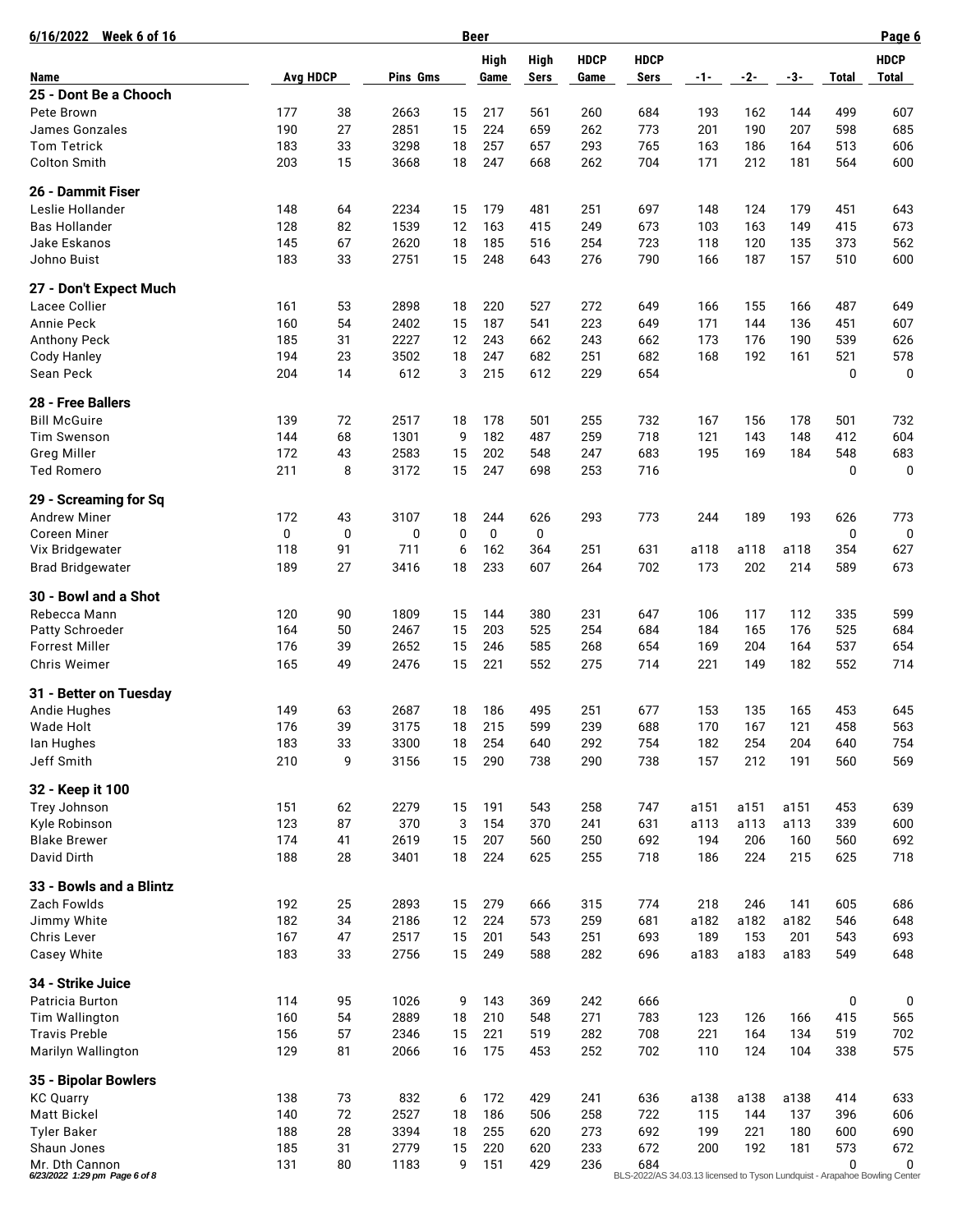| 6/16/2022<br>Week 6 of 16                       |                 |         |              |          | <b>Beer</b> |            |             |                                                                            |            |            |            |              | Page 6       |
|-------------------------------------------------|-----------------|---------|--------------|----------|-------------|------------|-------------|----------------------------------------------------------------------------|------------|------------|------------|--------------|--------------|
|                                                 |                 |         |              |          | <b>High</b> | High       | <b>HDCP</b> | <b>HDCP</b>                                                                |            |            |            |              | <b>HDCP</b>  |
| Name                                            | <b>Avg HDCP</b> |         | Pins Gms     |          | Game        | Sers       | Game        | Sers                                                                       | -1-        | -2-        | -3-        | <b>Total</b> | <b>Total</b> |
| 25 - Dont Be a Chooch                           |                 |         |              |          |             |            |             |                                                                            |            |            |            |              |              |
| Pete Brown                                      | 177             | 38      | 2663         | 15       | 217         | 561        | 260         | 684                                                                        | 193        | 162        | 144        | 499          | 607          |
| James Gonzales                                  | 190             | 27      | 2851         | 15       | 224         | 659        | 262         | 773                                                                        | 201        | 190        | 207        | 598          | 685          |
| <b>Tom Tetrick</b>                              | 183             | 33      | 3298         | 18       | 257         | 657        | 293         | 765                                                                        | 163        | 186        | 164        | 513          | 606          |
| <b>Colton Smith</b>                             | 203             | 15      | 3668         | 18       | 247         | 668        | 262         | 704                                                                        | 171        | 212        | 181        | 564          | 600          |
| 26 - Dammit Fiser                               |                 |         |              |          |             |            |             |                                                                            |            |            |            |              |              |
| Leslie Hollander                                | 148             | 64      | 2234         | 15       | 179         | 481        | 251         | 697                                                                        | 148        | 124        | 179        | 451          | 643          |
| <b>Bas Hollander</b>                            | 128             | 82      | 1539         | 12       | 163         | 415        | 249         | 673                                                                        | 103        | 163        | 149        | 415          | 673          |
| Jake Eskanos                                    | 145             | 67      | 2620         | 18       | 185         | 516        | 254         | 723                                                                        | 118        | 120        | 135        | 373          | 562          |
| Johno Buist                                     | 183             | 33      | 2751         | 15       | 248         | 643        | 276         | 790                                                                        | 166        | 187        | 157        | 510          | 600          |
| 27 - Don't Expect Much                          |                 |         |              |          |             |            |             |                                                                            |            |            |            |              |              |
| Lacee Collier                                   | 161             | 53      | 2898         | 18       | 220         | 527        | 272         | 649                                                                        | 166        | 155        | 166        | 487          | 649          |
| Annie Peck                                      | 160             | 54      | 2402         | 15       | 187         | 541        | 223         | 649                                                                        | 171        | 144        | 136        | 451          | 607          |
| <b>Anthony Peck</b>                             | 185             | 31      | 2227         | 12       | 243         | 662        | 243         | 662                                                                        | 173        | 176        | 190        | 539          | 626          |
| Cody Hanley                                     | 194             | 23      | 3502         | 18       | 247         | 682        | 251         | 682                                                                        | 168        | 192        | 161        | 521          | 578          |
| Sean Peck                                       | 204             | 14      | 612          | 3        | 215         | 612        | 229         | 654                                                                        |            |            |            | 0            | 0            |
| 28 - Free Ballers                               |                 |         |              |          |             |            |             |                                                                            |            |            |            |              |              |
| <b>Bill McGuire</b>                             | 139             | 72      | 2517         | 18       | 178         | 501        | 255         | 732                                                                        | 167        | 156        | 178        | 501          | 732          |
| <b>Tim Swenson</b>                              | 144             | 68      | 1301         | 9        | 182         | 487        | 259         | 718                                                                        | 121        | 143        | 148        | 412          | 604          |
| <b>Greg Miller</b>                              | 172             | 43      | 2583         | 15       | 202         | 548        | 247         | 683                                                                        | 195        | 169        | 184        | 548          | 683          |
| <b>Ted Romero</b>                               | 211             | 8       | 3172         | 15       | 247         | 698        | 253         | 716                                                                        |            |            |            | 0            | $\mathbf 0$  |
| 29 - Screaming for Sq                           |                 |         |              |          |             |            |             |                                                                            |            |            |            |              |              |
| Andrew Miner                                    | 172             | 43      | 3107         | 18       | 244         | 626        | 293         | 773                                                                        | 244        | 189        | 193        | 626          | 773          |
| <b>Coreen Miner</b>                             | 0               | 0       | 0            | 0        | 0           | 0          |             |                                                                            |            |            |            | $\mathbf 0$  | 0            |
| Vix Bridgewater                                 | 118             | 91      | 711          | 6        | 162         | 364        | 251         | 631                                                                        | a118       | a118       | a118       | 354          | 627          |
| <b>Brad Bridgewater</b>                         | 189             | 27      | 3416         | 18       | 233         | 607        | 264         | 702                                                                        | 173        | 202        | 214        | 589          | 673          |
|                                                 |                 |         |              |          |             |            |             |                                                                            |            |            |            |              |              |
| 30 - Bowl and a Shot<br>Rebecca Mann            | 120             | 90      | 1809         | 15       | 144         | 380        | 231         | 647                                                                        | 106        | 117        | 112        | 335          | 599          |
| Patty Schroeder                                 | 164             | 50      | 2467         | 15       | 203         | 525        | 254         | 684                                                                        | 184        | 165        | 176        | 525          | 684          |
| <b>Forrest Miller</b>                           | 176             | 39      | 2652         | 15       | 246         | 585        | 268         | 654                                                                        | 169        | 204        | 164        | 537          | 654          |
| Chris Weimer                                    | 165             | 49      | 2476         | 15       | 221         | 552        | 275         | 714                                                                        | 221        | 149        | 182        | 552          | 714          |
|                                                 |                 |         |              |          |             |            |             |                                                                            |            |            |            |              |              |
| 31 - Better on Tuesday                          |                 | 63      | 2687         |          |             |            |             |                                                                            | 153        |            |            |              |              |
| Andie Hughes                                    | 149             |         |              | 18       | 186         | 495        | 251         | 677                                                                        |            | 135        | 165        | 453          | 645          |
| Wade Holt                                       | 176             | 39      | 3175<br>3300 | 18       | 215         | 599        | 239         | 688                                                                        | 170        | 167        | 121        | 458          | 563          |
| lan Hughes<br>Jeff Smith                        | 183<br>210      | 33<br>9 | 3156         | 18<br>15 | 254<br>290  | 640<br>738 | 292<br>290  | 754<br>738                                                                 | 182<br>157 | 254<br>212 | 204<br>191 | 640<br>560   | 754<br>569   |
|                                                 |                 |         |              |          |             |            |             |                                                                            |            |            |            |              |              |
| 32 - Keep it 100<br>Trey Johnson                | 151             | 62      | 2279         | 15       | 191         | 543        | 258         | 747                                                                        | a151       | a151       | a151       | 453          | 639          |
| Kyle Robinson                                   | 123             | 87      | 370          | 3        | 154         | 370        | 241         | 631                                                                        | a113       | a113       | a113       | 339          | 600          |
| <b>Blake Brewer</b>                             | 174             | 41      | 2619         | 15       | 207         | 560        | 250         | 692                                                                        | 194        | 206        | 160        | 560          | 692          |
| David Dirth                                     | 188             | 28      | 3401         | 18       | 224         | 625        | 255         | 718                                                                        | 186        | 224        | 215        | 625          | 718          |
| 33 - Bowls and a Blintz                         |                 |         |              |          |             |            |             |                                                                            |            |            |            |              |              |
| Zach Fowlds                                     | 192             | 25      | 2893         | 15       | 279         | 666        | 315         | 774                                                                        | 218        | 246        | 141        | 605          | 686          |
| Jimmy White                                     | 182             | 34      | 2186         | 12       | 224         | 573        | 259         | 681                                                                        | a182       | a182       | a182       | 546          | 648          |
| Chris Lever                                     | 167             | 47      | 2517         | 15       | 201         | 543        | 251         | 693                                                                        | 189        | 153        | 201        | 543          | 693          |
| Casey White                                     | 183             | 33      | 2756         | 15       | 249         | 588        | 282         | 696                                                                        | a183       | a183       | a183       | 549          | 648          |
|                                                 |                 |         |              |          |             |            |             |                                                                            |            |            |            |              |              |
| 34 - Strike Juice<br>Patricia Burton            | 114             | 95      | 1026         | 9        | 143         | 369        | 242         | 666                                                                        |            |            |            | 0            | 0            |
| Tim Wallington                                  | 160             | 54      | 2889         | 18       | 210         | 548        | 271         | 783                                                                        | 123        | 126        | 166        | 415          | 565          |
| <b>Travis Preble</b>                            | 156             | 57      | 2346         | 15       | 221         | 519        | 282         | 708                                                                        | 221        | 164        | 134        | 519          | 702          |
| Marilyn Wallington                              | 129             | 81      | 2066         | 16       | 175         | 453        | 252         | 702                                                                        | 110        | 124        | 104        | 338          | 575          |
|                                                 |                 |         |              |          |             |            |             |                                                                            |            |            |            |              |              |
| 35 - Bipolar Bowlers<br><b>KC Quarry</b>        | 138             | 73      | 832          | 6        | 172         | 429        | 241         | 636                                                                        | a138       | a138       | a138       | 414          | 633          |
| Matt Bickel                                     | 140             | 72      | 2527         | 18       | 186         | 506        | 258         | 722                                                                        | 115        | 144        | 137        | 396          | 606          |
| <b>Tyler Baker</b>                              | 188             | 28      | 3394         | 18       | 255         | 620        | 273         | 692                                                                        | 199        | 221        | 180        | 600          | 690          |
| Shaun Jones                                     | 185             | 31      | 2779         | 15       | 220         | 620        | 233         | 672                                                                        | 200        | 192        | 181        | 573          | 672          |
| Mr. Dth Cannon<br>6/23/2022 1:29 pm Page 6 of 8 | 131             | 80      | 1183         | 9        | 151         | 429        | 236         | 684                                                                        |            |            |            | 0            | 0            |
|                                                 |                 |         |              |          |             |            |             | BLS-2022/AS 34.03.13 licensed to Tyson Lundquist - Arapahoe Bowling Center |            |            |            |              |              |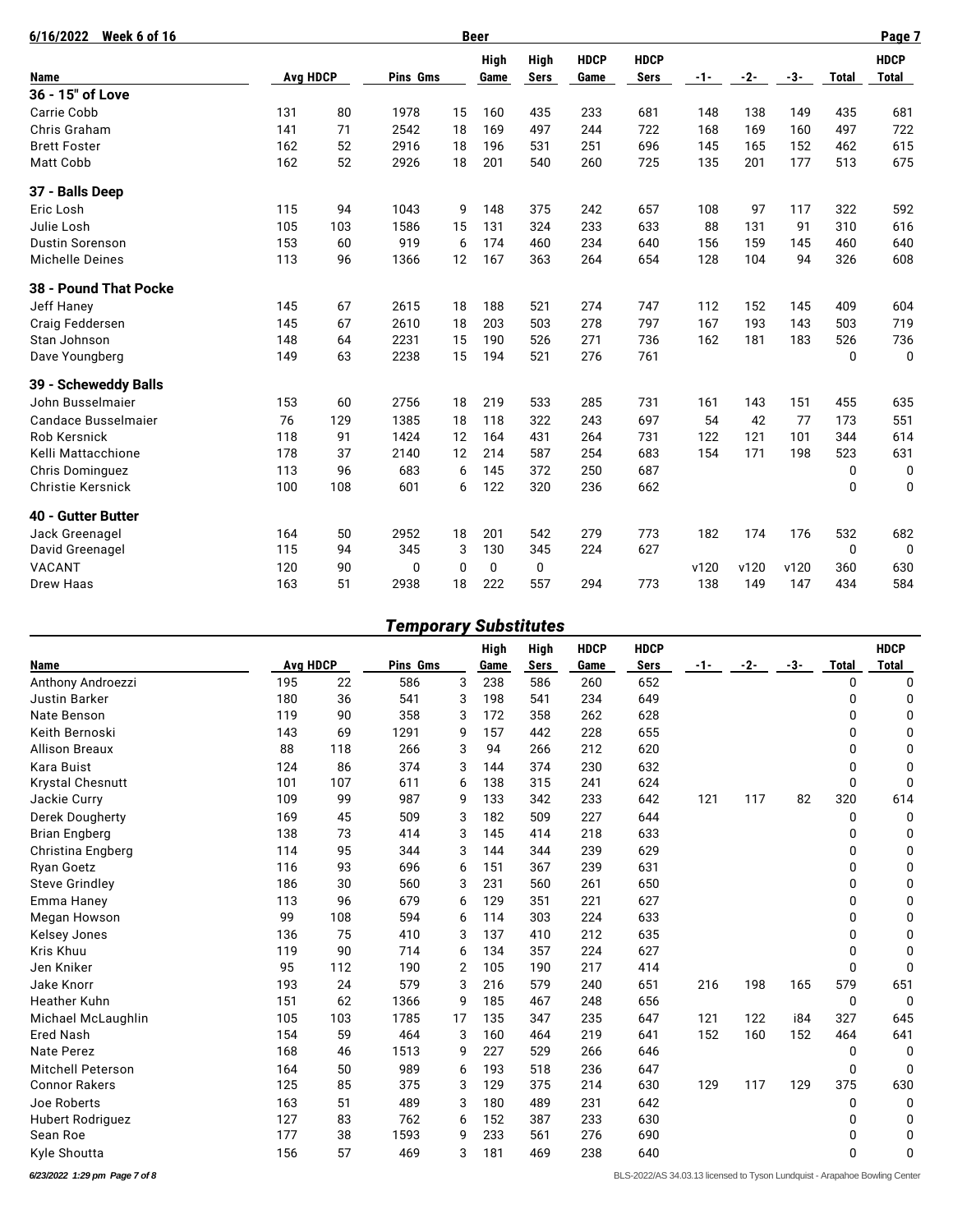| 6/16/2022<br>Week 6 of 16 |                 |     |             |             | <b>Beer</b> |      |             |             |       |       |      |              | Page 7         |
|---------------------------|-----------------|-----|-------------|-------------|-------------|------|-------------|-------------|-------|-------|------|--------------|----------------|
|                           |                 |     |             |             | High        | High | <b>HDCP</b> | <b>HDCP</b> |       |       |      |              | <b>HDCP</b>    |
| <b>Name</b>               | <b>Avg HDCP</b> |     | Pins Gms    |             | Game        | Sers | Game        | <b>Sers</b> | $-1-$ | $-2-$ | -3-  | <b>Total</b> | Total          |
| 36 - 15" of Love          |                 |     |             |             |             |      |             |             |       |       |      |              |                |
| Carrie Cobb               | 131             | 80  | 1978        | 15          | 160         | 435  | 233         | 681         | 148   | 138   | 149  | 435          | 681            |
| Chris Graham              | 141             | 71  | 2542        | 18          | 169         | 497  | 244         | 722         | 168   | 169   | 160  | 497          | 722            |
| <b>Brett Foster</b>       | 162             | 52  | 2916        | 18          | 196         | 531  | 251         | 696         | 145   | 165   | 152  | 462          | 615            |
| Matt Cobb                 | 162             | 52  | 2926        | 18          | 201         | 540  | 260         | 725         | 135   | 201   | 177  | 513          | 675            |
| 37 - Balls Deep           |                 |     |             |             |             |      |             |             |       |       |      |              |                |
| Eric Losh                 | 115             | 94  | 1043        | 9           | 148         | 375  | 242         | 657         | 108   | 97    | 117  | 322          | 592            |
| Julie Losh                | 105             | 103 | 1586        | 15          | 131         | 324  | 233         | 633         | 88    | 131   | 91   | 310          | 616            |
| <b>Dustin Sorenson</b>    | 153             | 60  | 919         | 6           | 174         | 460  | 234         | 640         | 156   | 159   | 145  | 460          | 640            |
| Michelle Deines           | 113             | 96  | 1366        | 12          | 167         | 363  | 264         | 654         | 128   | 104   | 94   | 326          | 608            |
| 38 - Pound That Pocke     |                 |     |             |             |             |      |             |             |       |       |      |              |                |
| Jeff Haney                | 145             | 67  | 2615        | 18          | 188         | 521  | 274         | 747         | 112   | 152   | 145  | 409          | 604            |
| Craig Feddersen           | 145             | 67  | 2610        | 18          | 203         | 503  | 278         | 797         | 167   | 193   | 143  | 503          | 719            |
| Stan Johnson              | 148             | 64  | 2231        | 15          | 190         | 526  | 271         | 736         | 162   | 181   | 183  | 526          | 736            |
| Dave Youngberg            | 149             | 63  | 2238        | 15          | 194         | 521  | 276         | 761         |       |       |      | $\Omega$     | $\Omega$       |
| 39 - Scheweddy Balls      |                 |     |             |             |             |      |             |             |       |       |      |              |                |
| John Busselmaier          | 153             | 60  | 2756        | 18          | 219         | 533  | 285         | 731         | 161   | 143   | 151  | 455          | 635            |
| Candace Busselmaier       | 76              | 129 | 1385        | 18          | 118         | 322  | 243         | 697         | 54    | 42    | 77   | 173          | 551            |
| <b>Rob Kersnick</b>       | 118             | 91  | 1424        | 12          | 164         | 431  | 264         | 731         | 122   | 121   | 101  | 344          | 614            |
| Kelli Mattacchione        | 178             | 37  | 2140        | 12          | 214         | 587  | 254         | 683         | 154   | 171   | 198  | 523          | 631            |
| Chris Dominguez           | 113             | 96  | 683         | 6           | 145         | 372  | 250         | 687         |       |       |      | 0            | 0              |
| <b>Christie Kersnick</b>  | 100             | 108 | 601         | 6           | 122         | 320  | 236         | 662         |       |       |      | 0            | $\Omega$       |
| 40 - Gutter Butter        |                 |     |             |             |             |      |             |             |       |       |      |              |                |
| Jack Greenagel            | 164             | 50  | 2952        | 18          | 201         | 542  | 279         | 773         | 182   | 174   | 176  | 532          | 682            |
| David Greenagel           | 115             | 94  | 345         | 3           | 130         | 345  | 224         | 627         |       |       |      | $\Omega$     | $\overline{0}$ |
| <b>VACANT</b>             | 120             | 90  | $\mathbf 0$ | $\mathbf 0$ | 0           | 0    |             |             | v120  | v120  | v120 | 360          | 630            |
| <b>Drew Haas</b>          | 163             | 51  | 2938        | 18          | 222         | 557  | 294         | 773         | 138   | 149   | 147  | 434          | 584            |

## *Temporary Substitutes*

|                               |                 |     |          |    | High | High | <b>HDCP</b> | <b>HDCP</b>                                                                |     |       |       |              | <b>HDCP</b>  |
|-------------------------------|-----------------|-----|----------|----|------|------|-------------|----------------------------------------------------------------------------|-----|-------|-------|--------------|--------------|
| Name                          | <b>Avg HDCP</b> |     | Pins Gms |    | Game | Sers | Game        | <b>Sers</b>                                                                | -1- | $-2-$ | $-3-$ | <b>Total</b> | <b>Total</b> |
| Anthony Androezzi             | 195             | 22  | 586      | 3  | 238  | 586  | 260         | 652                                                                        |     |       |       | 0            | 0            |
| Justin Barker                 | 180             | 36  | 541      | 3  | 198  | 541  | 234         | 649                                                                        |     |       |       | 0            | 0            |
| Nate Benson                   | 119             | 90  | 358      | 3  | 172  | 358  | 262         | 628                                                                        |     |       |       | <sup>0</sup> | 0            |
| Keith Bernoski                | 143             | 69  | 1291     | 9  | 157  | 442  | 228         | 655                                                                        |     |       |       | 0            | 0            |
| <b>Allison Breaux</b>         | 88              | 118 | 266      | 3  | 94   | 266  | 212         | 620                                                                        |     |       |       | <sup>0</sup> | 0            |
| Kara Buist                    | 124             | 86  | 374      | 3  | 144  | 374  | 230         | 632                                                                        |     |       |       | 0            | 0            |
| <b>Krystal Chesnutt</b>       | 101             | 107 | 611      | 6  | 138  | 315  | 241         | 624                                                                        |     |       |       | 0            | 0            |
| Jackie Curry                  | 109             | 99  | 987      | 9  | 133  | 342  | 233         | 642                                                                        | 121 | 117   | 82    | 320          | 614          |
| Derek Dougherty               | 169             | 45  | 509      | 3  | 182  | 509  | 227         | 644                                                                        |     |       |       | 0            | 0            |
| <b>Brian Engberg</b>          | 138             | 73  | 414      | 3  | 145  | 414  | 218         | 633                                                                        |     |       |       | 0            | 0            |
| Christina Engberg             | 114             | 95  | 344      | 3  | 144  | 344  | 239         | 629                                                                        |     |       |       | <sup>0</sup> | 0            |
| Ryan Goetz                    | 116             | 93  | 696      | 6  | 151  | 367  | 239         | 631                                                                        |     |       |       | 0            | 0            |
| <b>Steve Grindley</b>         | 186             | 30  | 560      | 3  | 231  | 560  | 261         | 650                                                                        |     |       |       | 0            | 0            |
| Emma Haney                    | 113             | 96  | 679      | 6  | 129  | 351  | 221         | 627                                                                        |     |       |       | 0            | 0            |
| Megan Howson                  | 99              | 108 | 594      | 6  | 114  | 303  | 224         | 633                                                                        |     |       |       | 0            | 0            |
| Kelsey Jones                  | 136             | 75  | 410      | 3  | 137  | 410  | 212         | 635                                                                        |     |       |       | 0            | 0            |
| Kris Khuu                     | 119             | 90  | 714      | 6  | 134  | 357  | 224         | 627                                                                        |     |       |       | 0            | 0            |
| Jen Kniker                    | 95              | 112 | 190      | 2  | 105  | 190  | 217         | 414                                                                        |     |       |       | $\Omega$     | $\Omega$     |
| Jake Knorr                    | 193             | 24  | 579      | 3  | 216  | 579  | 240         | 651                                                                        | 216 | 198   | 165   | 579          | 651          |
| <b>Heather Kuhn</b>           | 151             | 62  | 1366     | 9  | 185  | 467  | 248         | 656                                                                        |     |       |       | 0            | 0            |
| Michael McLaughlin            | 105             | 103 | 1785     | 17 | 135  | 347  | 235         | 647                                                                        | 121 | 122   | i84   | 327          | 645          |
| <b>Ered Nash</b>              | 154             | 59  | 464      | 3  | 160  | 464  | 219         | 641                                                                        | 152 | 160   | 152   | 464          | 641          |
| <b>Nate Perez</b>             | 168             | 46  | 1513     | 9  | 227  | 529  | 266         | 646                                                                        |     |       |       | 0            | 0            |
| <b>Mitchell Peterson</b>      | 164             | 50  | 989      | 6  | 193  | 518  | 236         | 647                                                                        |     |       |       | 0            | $\Omega$     |
| <b>Connor Rakers</b>          | 125             | 85  | 375      | 3  | 129  | 375  | 214         | 630                                                                        | 129 | 117   | 129   | 375          | 630          |
| Joe Roberts                   | 163             | 51  | 489      | 3  | 180  | 489  | 231         | 642                                                                        |     |       |       | 0            | 0            |
| <b>Hubert Rodriguez</b>       | 127             | 83  | 762      | 6  | 152  | 387  | 233         | 630                                                                        |     |       |       | <sup>0</sup> | 0            |
| Sean Roe                      | 177             | 38  | 1593     | 9  | 233  | 561  | 276         | 690                                                                        |     |       |       | 0            | 0            |
| Kyle Shoutta                  | 156             | 57  | 469      | 3  | 181  | 469  | 238         | 640                                                                        |     |       |       | $\Omega$     | $\mathbf{0}$ |
| 6/23/2022 1:29 pm Page 7 of 8 |                 |     |          |    |      |      |             | BLS-2022/AS 34.03.13 licensed to Tyson Lundquist - Arapahoe Bowling Center |     |       |       |              |              |